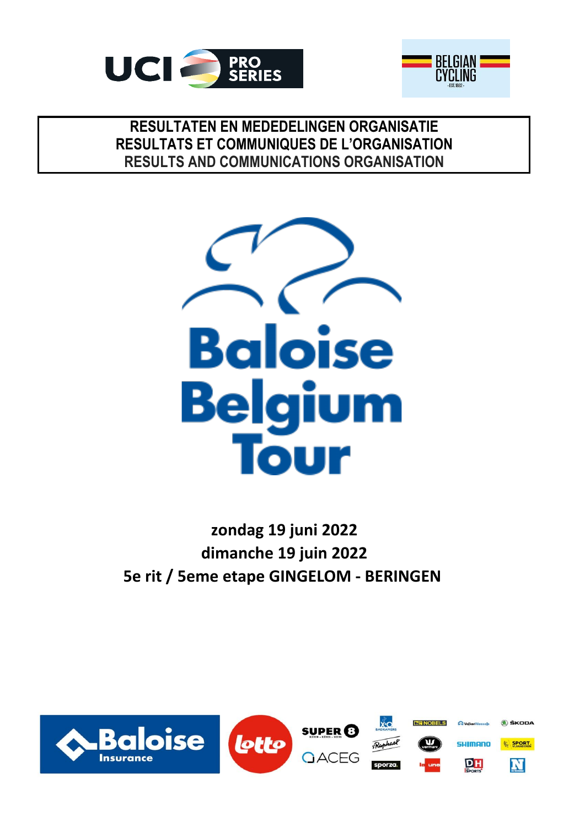



# **RESULTATEN EN MEDEDELINGEN ORGANISATIE RESULTS AND COMMUNICATIONS ORGANISATION RESULTATS ET COMMUNIQUES DE L'ORGANISATION**



**zondag 19 juni 2022 5e rit / 5eme etape GINGELOM - BERINGEN dimanche 19 juin 2022**

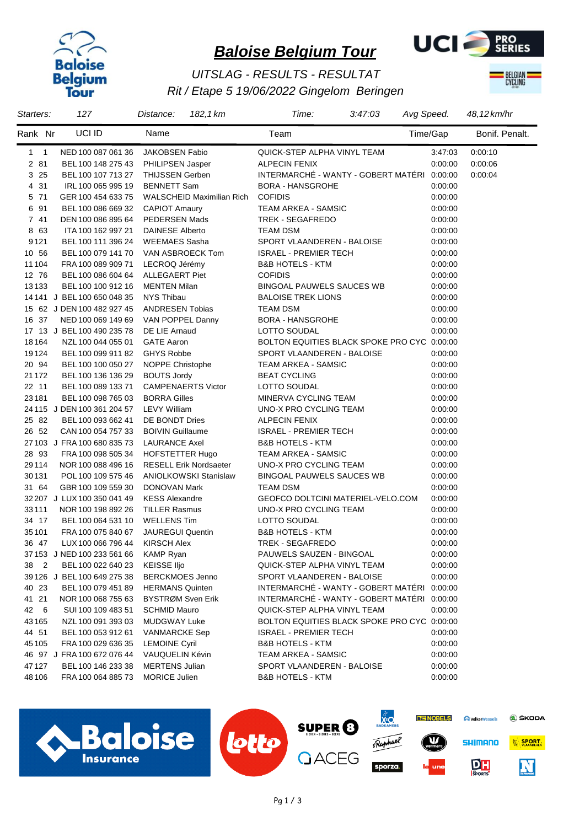



## *Rit / Etape 5 19/06/2022 Gingelom Beringen UITSLAG - RESULTS - RESULTAT*



| Starters:      | 127                                      | Distance:                                  | 182, 1 km                 | Time:                                       | 3:47:03 | Avg Speed.         | 48,12 km/hr    |
|----------------|------------------------------------------|--------------------------------------------|---------------------------|---------------------------------------------|---------|--------------------|----------------|
| Rank Nr        | UCI ID                                   | Name                                       |                           | Team                                        |         | Time/Gap           | Bonif. Penalt. |
| $1 \quad 1$    | NED 100 087 061 36                       | JAKOBSEN Fabio                             |                           | QUICK-STEP ALPHA VINYL TEAM                 |         | 3:47:03            | 0:00:10        |
| 2 81           | BEL 100 148 275 43                       | <b>PHILIPSEN Jasper</b>                    |                           | <b>ALPECIN FENIX</b>                        |         | 0:00:00            | 0:00:06        |
| 3 25           | BEL 100 107 713 27                       | <b>THIJSSEN Gerben</b>                     |                           | INTERMARCHÉ - WANTY - GOBERT MATÉRI         |         | 0.00:00            | 0:00:04        |
| 4 31           | IRL 100 065 995 19                       | <b>BENNETT Sam</b>                         |                           | <b>BORA - HANSGROHE</b>                     |         | 0:00:00            |                |
| 5 71           | GER 100 454 633 75                       |                                            | WALSCHEID Maximilian Rich | <b>COFIDIS</b>                              |         | 0:00:00            |                |
| 6 91           | BEL 100 086 669 32                       | <b>CAPIOT Amaury</b>                       |                           | TEAM ARKEA - SAMSIC                         |         | 0:00:00            |                |
| 7 41           | DEN 100 086 895 64                       | <b>PEDERSEN Mads</b>                       |                           | <b>TREK - SEGAFREDO</b>                     |         | 0:00:00            |                |
| 8 63           | ITA 100 162 997 21                       | <b>DAINESE Alberto</b>                     |                           | <b>TEAM DSM</b>                             |         | 0:00:00            |                |
| 9121           | BEL 100 111 396 24                       | <b>WEEMAES Sasha</b>                       |                           | SPORT VLAANDEREN - BALOISE                  |         | 0:00:00            |                |
| 10 56          | BEL 100 079 141 70                       | VAN ASBROECK Tom                           |                           | <b>ISRAEL - PREMIER TECH</b>                |         | 0:00:00            |                |
| 11 104         | FRA 100 089 909 71                       | LECROQ Jérémy                              |                           | <b>B&amp;B HOTELS - KTM</b>                 |         | 0:00:00            |                |
| 12 76          | BEL 100 086 604 64                       | <b>ALLEGAERT Piet</b>                      |                           | <b>COFIDIS</b>                              |         | 0:00:00            |                |
| 13133          | BEL 100 100 912 16                       | <b>MENTEN Milan</b>                        |                           | <b>BINGOAL PAUWELS SAUCES WB</b>            |         | 0:00:00            |                |
|                | 14 141 J BEL 100 650 048 35              | <b>NYS Thibau</b>                          |                           | <b>BALOISE TREK LIONS</b>                   |         | 0:00:00            |                |
|                | 15 62 J DEN 100 482 927 45               | <b>ANDRESEN Tobias</b>                     |                           | <b>TEAM DSM</b>                             |         | 0:00:00            |                |
| 16 37          | NED 100 069 149 69                       | VAN POPPEL Danny                           |                           | <b>BORA - HANSGROHE</b>                     |         | 0:00:00            |                |
|                | 17 13 J BEL 100 490 235 78               | DE LIE Arnaud                              |                           | LOTTO SOUDAL                                |         | 0:00:00            |                |
| 18164          | NZL 100 044 055 01                       | <b>GATE Aaron</b>                          |                           | BOLTON EQUITIES BLACK SPOKE PRO CYC 0:00:00 |         |                    |                |
| 19124          | BEL 100 099 911 82                       | <b>GHYS Robbe</b>                          |                           | SPORT VLAANDEREN - BALOISE                  |         | 0:00:00            |                |
| 20 94          | BEL 100 100 050 27                       | <b>NOPPE Christophe</b>                    |                           | <b>TEAM ARKEA - SAMSIC</b>                  |         | 0:00:00            |                |
| 21 1 7 2       | BEL 100 136 136 29                       | <b>BOUTS Jordy</b>                         |                           | <b>BEAT CYCLING</b>                         |         | 0:00:00            |                |
| 22 11          | BEL 100 089 133 71                       | <b>CAMPENAERTS Victor</b>                  |                           | LOTTO SOUDAL                                |         | 0:00:00            |                |
| 23181          | BEL 100 098 765 03                       | <b>BORRA Gilles</b>                        |                           | MINERVA CYCLING TEAM                        |         | 0:00:00            |                |
|                | 24 115 J DEN 100 361 204 57              | <b>LEVY William</b>                        |                           | UNO-X PRO CYCLING TEAM                      |         | 0:00:00            |                |
| 25 82          | BEL 100 093 662 41                       | DE BONDT Dries                             |                           | <b>ALPECIN FENIX</b>                        |         | 0:00:00            |                |
| 26 52          | CAN 100 054 757 33                       | <b>BOIVIN Guillaume</b>                    |                           | <b>ISRAEL - PREMIER TECH</b>                |         | 0:00:00            |                |
|                | 27 103 J FRA 100 680 835 73              | <b>LAURANCE Axel</b>                       |                           | <b>B&amp;B HOTELS - KTM</b>                 |         | 0:00:00            |                |
| 28 93          | FRA 100 098 505 34                       | <b>HOFSTETTER Hugo</b>                     |                           | <b>TEAM ARKEA - SAMSIC</b>                  |         | 0:00:00            |                |
| 29114          | NOR 100 088 496 16                       | <b>RESELL Erik Nordsaeter</b>              |                           | UNO-X PRO CYCLING TEAM                      |         | 0:00:00            |                |
| 30131          | POL 100 109 575 46                       | <b>ANIOLKOWSKI Stanislaw</b>               |                           | <b>BINGOAL PAUWELS SAUCES WB</b>            |         | 0.00:00            |                |
| 31 64          | GBR 100 109 559 30                       | <b>DONOVAN Mark</b>                        |                           | <b>TEAM DSM</b>                             |         | 0:00:00            |                |
|                | 32 207 J LUX 100 350 041 49              | <b>KESS Alexandre</b>                      |                           | GEOFCO DOLTCINI MATERIEL-VELO.COM           |         | 0:00:00            |                |
| 33111<br>34 17 | NOR 100 198 892 26                       | <b>TILLER Rasmus</b><br><b>WELLENS Tim</b> |                           | UNO-X PRO CYCLING TEAM<br>LOTTO SOUDAL      |         | 0:00:00            |                |
| 35 101         | BEL 100 064 531 10<br>FRA 100 075 840 67 | <b>JAUREGUI Quentin</b>                    |                           | <b>B&amp;B HOTELS - KTM</b>                 |         | 0:00:00<br>0:00:00 |                |
| 36 47          | LUX 100 066 796 44                       | <b>KIRSCH Alex</b>                         |                           | TREK - SEGAFREDO                            |         | 0:00:00            |                |
|                | 37 153 J NED 100 233 561 66              | <b>KAMP Ryan</b>                           |                           | PAUWELS SAUZEN - BINGOAL                    |         | 0.00:00            |                |
| 38 2           | BEL 100 022 640 23                       | <b>KEISSE IIjo</b>                         |                           | QUICK-STEP ALPHA VINYL TEAM                 |         | 0.00:00            |                |
|                | 39 126 J BEL 100 649 275 38              | <b>BERCKMOES Jenno</b>                     |                           | SPORT VLAANDEREN - BALOISE                  |         | 0.00:00            |                |
| 40 23          | BEL 100 079 451 89                       | <b>HERMANS Quinten</b>                     |                           | INTERMARCHÉ - WANTY - GOBERT MATÉRI         |         | 0:00:00            |                |
| 41 21          | NOR 100 068 755 63                       | BYSTRØM Sven Erik                          |                           | INTERMARCHÉ - WANTY - GOBERT MATÉRI 0:00:00 |         |                    |                |
| 42 6           | SUI 100 109 483 51                       | <b>SCHMID Mauro</b>                        |                           | QUICK-STEP ALPHA VINYL TEAM                 |         | 0.00:00            |                |
| 43165          | NZL 100 091 393 03                       | <b>MUDGWAY Luke</b>                        |                           | BOLTON EQUITIES BLACK SPOKE PRO CYC 0:00:00 |         |                    |                |
| 44 51          | BEL 100 053 912 61                       | <b>VANMARCKE Sep</b>                       |                           | ISRAEL - PREMIER TECH                       |         | 0:00:00            |                |
| 45 105         | FRA 100 029 636 35                       | <b>LEMOINE Cyril</b>                       |                           | <b>B&amp;B HOTELS - KTM</b>                 |         | 0:00:00            |                |
|                | 46 97 J FRA 100 672 076 44               | VAUQUELIN Kévin                            |                           | TEAM ARKEA - SAMSIC                         |         | 0:00:00            |                |
| 47 127         | BEL 100 146 233 38                       | <b>MERTENS Julian</b>                      |                           | SPORT VLAANDEREN - BALOISE                  |         | 0:00:00            |                |
| 48106          | FRA 100 064 885 73                       | <b>MORICE Julien</b>                       |                           | <b>B&amp;B HOTELS - KTM</b>                 |         | 0.00:00            |                |
|                |                                          |                                            |                           |                                             |         |                    |                |

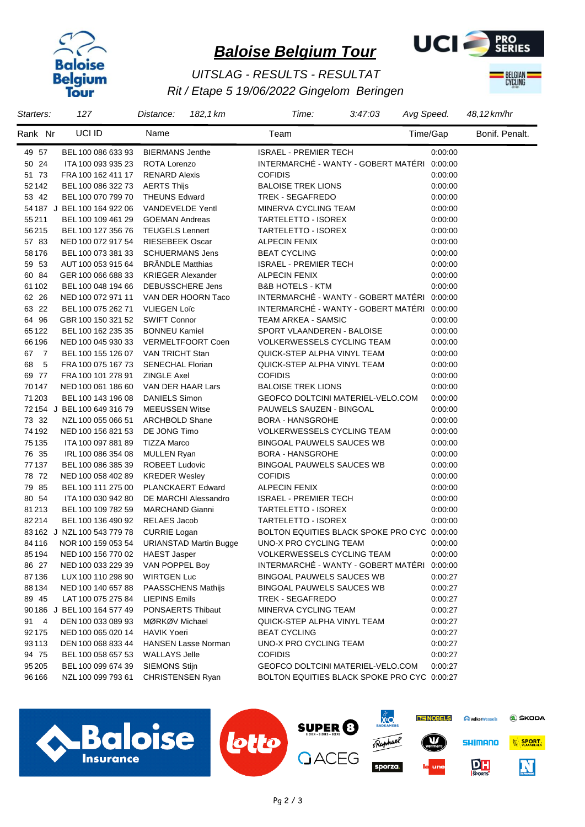



## *Rit / Etape 5 19/06/2022 Gingelom Beringen UITSLAG - RESULTS - RESULTAT*



| Starters: | 127                         | 182, 1 km<br>Distance:        | Time:<br>3:47:03                            | Avg Speed. | 48,12 km/hr    |
|-----------|-----------------------------|-------------------------------|---------------------------------------------|------------|----------------|
| Rank Nr   | UCI ID                      | Name                          | Team                                        | Time/Gap   | Bonif. Penalt. |
| 49 57     | BEL 100 086 633 93          | <b>BIERMANS Jenthe</b>        | <b>ISRAEL - PREMIER TECH</b>                | 0:00:00    |                |
| 50 24     | ITA 100 093 935 23          | ROTA Lorenzo                  | INTERMARCHÉ - WANTY - GOBERT MATÉRI 0:00:00 |            |                |
| 51 73     | FRA 100 162 411 17          | <b>RENARD Alexis</b>          | <b>COFIDIS</b>                              | 0:00:00    |                |
| 52142     | BEL 100 086 322 73          | <b>AERTS Thijs</b>            | <b>BALOISE TREK LIONS</b>                   | 0:00:00    |                |
| 53 42     | BEL 100 070 799 70          | <b>THEUNS Edward</b>          | TREK - SEGAFREDO                            | 0:00:00    |                |
|           | 54 187 J BEL 100 164 922 06 | <b>VANDEVELDE Yentl</b>       | MINERVA CYCLING TEAM                        | 0:00:00    |                |
| 55211     | BEL 100 109 461 29          | <b>GOEMAN Andreas</b>         | TARTELETTO - ISOREX                         | 0:00:00    |                |
| 56215     | BEL 100 127 356 76          | <b>TEUGELS Lennert</b>        | TARTELETTO - ISOREX                         | 0:00:00    |                |
| 57 83     | NED 100 072 917 54          | <b>RIESEBEEK Oscar</b>        | <b>ALPECIN FENIX</b>                        | 0:00:00    |                |
| 58176     | BEL 100 073 381 33          | <b>SCHUERMANS Jens</b>        | <b>BEAT CYCLING</b>                         | 0:00:00    |                |
| 59 53     | AUT 100 053 915 64          | <b>BRÄNDLE Matthias</b>       | <b>ISRAEL - PREMIER TECH</b>                | 0:00:00    |                |
| 60 84     | GER 100 066 688 33          | <b>KRIEGER Alexander</b>      | <b>ALPECIN FENIX</b>                        | 0:00:00    |                |
| 61 102    | BEL 100 048 194 66          | DEBUSSCHERE Jens              | <b>B&amp;B HOTELS - KTM</b>                 | 0:00:00    |                |
| 62 26     | NED 100 072 971 11          | VAN DER HOORN Taco            | INTERMARCHÉ - WANTY - GOBERT MATÉRI 0:00:00 |            |                |
| 63 22     | BEL 100 075 262 71          | <b>VLIEGEN Loïc</b>           | INTERMARCHÉ - WANTY - GOBERT MATÉRI 0:00:00 |            |                |
| 64 96     | GBR 100 150 321 52          | <b>SWIFT Connor</b>           | <b>TEAM ARKEA - SAMSIC</b>                  | 0:00:00    |                |
| 65122     | BEL 100 162 235 35          | <b>BONNEU Kamiel</b>          | SPORT VLAANDEREN - BALOISE                  | 0:00:00    |                |
| 66196     | NED 100 045 930 33          | <b>VERMELTFOORT Coen</b>      | <b>VOLKERWESSELS CYCLING TEAM</b>           | 0:00:00    |                |
| 67 7      | BEL 100 155 126 07          | <b>VAN TRICHT Stan</b>        | QUICK-STEP ALPHA VINYL TEAM                 | 0:00:00    |                |
| 68<br>5   | FRA 100 075 167 73          | <b>SENECHAL Florian</b>       | QUICK-STEP ALPHA VINYL TEAM                 | 0:00:00    |                |
| 69 77     | FRA 100 101 278 91          | <b>ZINGLE Axel</b>            | <b>COFIDIS</b>                              | 0:00:00    |                |
| 70147     | NED 100 061 186 60          | VAN DER HAAR Lars             | <b>BALOISE TREK LIONS</b>                   | 0:00:00    |                |
| 71 203    | BEL 100 143 196 08          | <b>DANIELS Simon</b>          | GEOFCO DOLTCINI MATERIEL-VELO.COM           | 0:00:00    |                |
|           | 72 154 J BEL 100 649 316 79 | <b>MEEUSSEN Witse</b>         | PAUWELS SAUZEN - BINGOAL                    | 0:00:00    |                |
| 73 32     | NZL 100 055 066 51          | <b>ARCHBOLD Shane</b>         | <b>BORA - HANSGROHE</b>                     | 0:00:00    |                |
| 74 192    | NED 100 156 821 53          | DE JONG Timo                  | <b>VOLKERWESSELS CYCLING TEAM</b>           | 0:00:00    |                |
| 75 135    | ITA 100 097 881 89          | <b>TIZZA Marco</b>            | <b>BINGOAL PAUWELS SAUCES WB</b>            | 0:00:00    |                |
| 76 35     | IRL 100 086 354 08          | <b>MULLEN Ryan</b>            | <b>BORA - HANSGROHE</b>                     | 0:00:00    |                |
| 77137     | BEL 100 086 385 39          | <b>ROBEET Ludovic</b>         | <b>BINGOAL PAUWELS SAUCES WB</b>            | 0:00:00    |                |
| 78 72     | NED 100 058 402 89          | <b>KREDER Wesley</b>          | <b>COFIDIS</b>                              | 0:00:00    |                |
| 79 85     | BEL 100 111 275 00          | PLANCKAERT Edward             | <b>ALPECIN FENIX</b>                        | 0:00:00    |                |
| 80 54     | ITA 100 030 942 80          | DE MARCHI Alessandro          | <b>ISRAEL - PREMIER TECH</b>                | 0:00:00    |                |
| 81213     | BEL 100 109 782 59          | <b>MARCHAND Gianni</b>        | TARTELETTO - ISOREX                         | 0:00:00    |                |
| 82214     | BEL 100 136 490 92          | RELAES Jacob                  | TARTELETTO - ISOREX                         | 0:00:00    |                |
|           | 83 162 J NZL 100 543 779 78 | <b>CURRIE Logan</b>           | BOLTON EQUITIES BLACK SPOKE PRO CYC 0:00:00 |            |                |
| 84116     | NOR 100 159 053 54          | <b>URIANSTAD Martin Bugge</b> | UNO-X PRO CYCLING TEAM                      | 0:00:00    |                |
| 85194     | NED 100 156 770 02          | <b>HAEST Jasper</b>           | <b>VOLKERWESSELS CYCLING TEAM</b>           | 0:00:00    |                |
| 86 27     | NED 100 033 229 39          | VAN POPPEL Boy                | INTERMARCHE - WANTY - GOBERT MATERI         | 0:00:00    |                |
| 87136     | LUX 100 110 298 90          | WIRTGEN Luc                   | BINGOAL PAUWELS SAUCES WB                   | 0:00:27    |                |
| 88134     | NED 100 140 657 88          | <b>PAASSCHENS Mathijs</b>     | BINGOAL PAUWELS SAUCES WB                   | 0:00:27    |                |
| 89 45     | LAT 100 075 275 84          | <b>LIEPINS Emils</b>          | TREK - SEGAFREDO                            | 0:00:27    |                |
|           | 90 186 J BEL 100 164 577 49 | PONSAERTS Thibaut             | MINERVA CYCLING TEAM                        | 0:00:27    |                |
| 91 4      | DEN 100 033 089 93          | MØRKØV Michael                | QUICK-STEP ALPHA VINYL TEAM                 | 0:00:27    |                |
| 92175     | NED 100 065 020 14          | <b>HAVIK Yoeri</b>            | <b>BEAT CYCLING</b>                         | 0:00:27    |                |
| 93113     | DEN 100 068 833 44          | <b>HANSEN Lasse Norman</b>    | UNO-X PRO CYCLING TEAM                      | 0:00:27    |                |
| 94 75     | BEL 100 058 657 53          | <b>WALLAYS Jelle</b>          | <b>COFIDIS</b>                              | 0:00:27    |                |
| 95 205    | BEL 100 099 674 39          | SIEMONS Stijn                 | <b>GEOFCO DOLTCINI MATERIEL-VELO.COM</b>    | 0:00:27    |                |
| 96 166    | NZL 100 099 793 61          | <b>CHRISTENSEN Ryan</b>       | BOLTON EQUITIES BLACK SPOKE PRO CYC 0:00:27 |            |                |
|           |                             |                               |                                             |            |                |

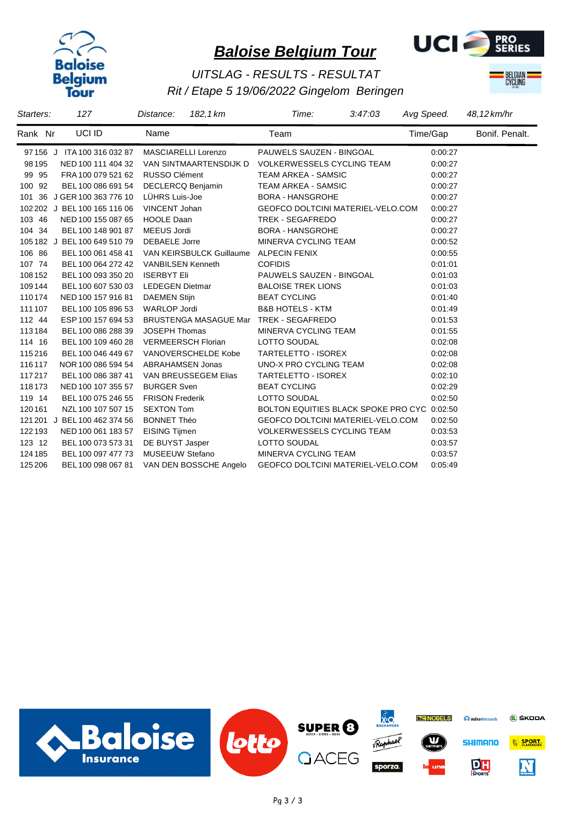



## *Rit / Etape 5 19/06/2022 Gingelom Beringen UITSLAG - RESULTS - RESULTAT*



| Starters: | 127                              | 182, 1 km<br>Distance:   | Time:<br>3:47:03                            | Avg Speed. | 48,12 km/hr    |
|-----------|----------------------------------|--------------------------|---------------------------------------------|------------|----------------|
| Rank Nr   | UCI ID                           | Name                     | Team                                        | Time/Gap   | Bonif. Penalt. |
|           | 97 156 J ITA 100 316 032 87      | MASCIARELLI Lorenzo      | PAUWELS SAUZEN - BINGOAL                    | 0:00:27    |                |
| 98 1 95   | NED 100 111 404 32               | VAN SINTMAARTENSDIJK D   | <b>VOLKERWESSELS CYCLING TEAM</b>           | 0:00:27    |                |
| 99 95     | FRA 100 079 521 62 RUSSO Clément |                          | <b>TEAM ARKEA - SAMSIC</b>                  | 0:00:27    |                |
| 100 92    | BEL 100 086 691 54               | <b>DECLERCQ Benjamin</b> | <b>TEAM ARKEA - SAMSIC</b>                  | 0:00:27    |                |
| 101 36    | J GER 100 363 776 10             | LÜHRS Luis-Joe           | <b>BORA - HANSGROHE</b>                     | 0:00:27    |                |
|           | 102 202 J BEL 100 165 116 06     | VINCENT Johan            | GEOFCO DOLTCINI MATERIEL-VELO.COM           | 0:00:27    |                |
| 103 46    | NED 100 155 087 65               | <b>HOOLE Daan</b>        | TREK - SEGAFREDO                            | 0:00:27    |                |
| 104 34    | BEL 100 148 901 87               | MEEUS Jordi              | <b>BORA - HANSGROHE</b>                     | 0:00:27    |                |
|           | 105 182 J BEL 100 649 510 79     | <b>DEBAELE</b> Jorre     | MINERVA CYCLING TEAM                        | 0:00:52    |                |
| 106 86    | BEL 100 061 458 41               | VAN KEIRSBULCK Guillaume | <b>ALPECIN FENIX</b>                        | 0:00:55    |                |
| 107 74    | BEL 100 064 272 42               | <b>VANBILSEN Kenneth</b> | <b>COFIDIS</b>                              | 0:01:01    |                |
| 108 152   | BEL 100 093 350 20               | <b>ISERBYT Eli</b>       | PAUWELS SAUZEN - BINGOAL                    | 0:01:03    |                |
| 109144    | BEL 100 607 530 03               | <b>LEDEGEN Dietmar</b>   | <b>BALOISE TREK LIONS</b>                   | 0:01:03    |                |
| 110174    | NED 100 157 916 81               | <b>DAEMEN Stijn</b>      | <b>BEAT CYCLING</b>                         | 0:01:40    |                |
| 111 107   | BEL 100 105 896 53               | <b>WARLOP Jordi</b>      | <b>B&amp;B HOTELS - KTM</b>                 | 0.01.49    |                |
| 112 44    | ESP 100 157 694 53               | BRUSTENGA MASAGUE Mar    | TREK - SEGAFREDO                            | 0:01:53    |                |
| 113184    | BEL 100 086 288 39               | <b>JOSEPH Thomas</b>     | MINERVA CYCLING TEAM                        | 0:01:55    |                |
| 114 16    | BEL 100 109 460 28               | VERMEERSCH Florian       | LOTTO SOUDAL                                | 0.02.08    |                |
| 115216    | BEL 100 046 449 67               | VANOVERSCHELDE Kobe      | <b>TARTELETTO - ISOREX</b>                  | 0.02.08    |                |
| 116117    | NOR 100 086 594 54               | <b>ABRAHAMSEN Jonas</b>  | UNO-X PRO CYCLING TEAM                      | 0:02:08    |                |
| 117217    | BEL 100 086 387 41               | VAN BREUSSEGEM Elias     | TARTELETTO - ISOREX                         | 0:02:10    |                |
| 118173    | NED 100 107 355 57               | <b>BURGER Sven</b>       | <b>BEAT CYCLING</b>                         | 0:02:29    |                |
| 119 14    | BEL 100 075 246 55               | <b>FRISON Frederik</b>   | LOTTO SOUDAL                                | 0:02:50    |                |
| 120161    | NZL 100 107 507 15               | <b>SEXTON Tom</b>        | BOLTON EQUITIES BLACK SPOKE PRO CYC 0:02:50 |            |                |
| 121 201   | J BEL 100 462 374 56             | <b>BONNET Théo</b>       | GEOFCO DOLTCINI MATERIEL-VELO.COM           | 0:02:50    |                |
| 122193    | NED 100 061 183 57               | <b>EISING Tijmen</b>     | <b>VOLKERWESSELS CYCLING TEAM</b>           | 0:03:53    |                |
| 123 12    | BEL 100 073 573 31               | DE BUYST Jasper          | LOTTO SOUDAL                                | 0:03:57    |                |
| 124 185   | BEL 100 097 477 73               | MUSEEUW Stefano          | MINERVA CYCLING TEAM                        | 0:03:57    |                |
| 125 206   | BEL 100 098 067 81               | VAN DEN BOSSCHE Angelo   | <b>GEOFCO DOLTCINI MATERIEL-VELO.COM</b>    | 0.05.49    |                |

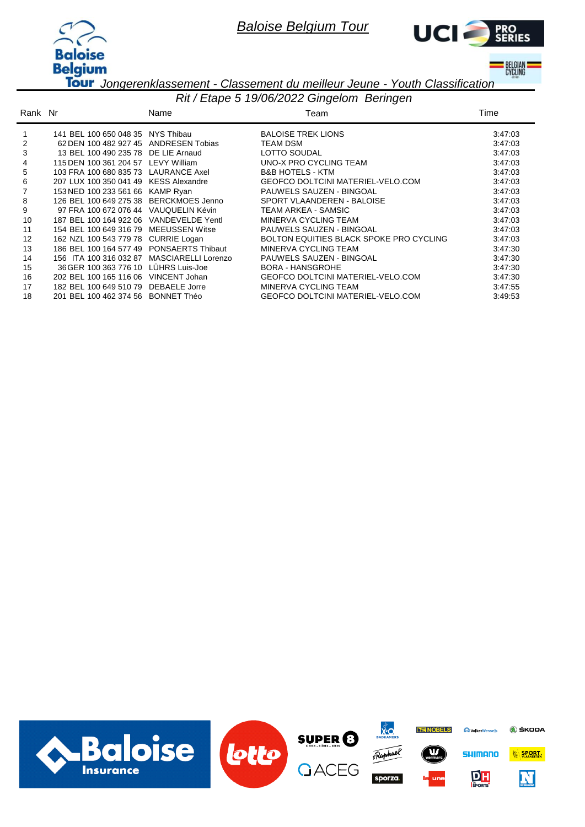



**BELGIAN**<br>CYCLING

*Jongerenklassement - Classement du meilleur Jeune - Youth Classification*

|         | Rit / Etape 5 19/06/2022 Gingelom Beringen |                            |                                          |         |  |  |  |  |
|---------|--------------------------------------------|----------------------------|------------------------------------------|---------|--|--|--|--|
| Rank Nr |                                            | Name                       | Team                                     | Time    |  |  |  |  |
|         | 141 BEL 100 650 048 35 NYS Thibau          |                            | <b>BALOISE TREK LIONS</b>                | 3:47:03 |  |  |  |  |
| 2       | 62 DEN 100 482 927 45                      | ANDRESEN Tobias            | <b>TEAM DSM</b>                          | 3:47:03 |  |  |  |  |
| 3       | 13 BEL 100 490 235 78                      | DE LIE Arnaud              | LOTTO SOUDAL                             | 3:47:03 |  |  |  |  |
| 4       | 115 DEN 100 361 204 57                     | LEVY William               | UNO-X PRO CYCLING TEAM                   | 3:47:03 |  |  |  |  |
| 5       | 103 FRA 100 680 835 73                     | LAURANCE Axel              | <b>B&amp;B HOTELS - KTM</b>              | 3:47:03 |  |  |  |  |
| 6       | 207 LUX 100 350 041 49                     | <b>KESS Alexandre</b>      | GEOFCO DOLTCINI MATERIEL-VELO.COM        | 3:47:03 |  |  |  |  |
|         | 153 NED 100 233 561 66                     | KAMP Ryan                  | PAUWELS SAUZEN - BINGOAL                 | 3:47:03 |  |  |  |  |
| 8       | 126 BEL 100 649 275 38 BERCKMOES Jenno     |                            | SPORT VLAANDEREN - BALOISE               | 3:47:03 |  |  |  |  |
| 9       | 97 FRA 100 672 076 44 VAUQUELIN Kévin      |                            | TEAM ARKEA - SAMSIC                      | 3:47:03 |  |  |  |  |
| 10      | 187 BEL 100 164 922 06 VANDEVELDE Yentl    |                            | MINERVA CYCLING TEAM                     | 3:47:03 |  |  |  |  |
| 11      | 154 BEL 100 649 316 79                     | <b>MEEUSSEN Witse</b>      | PAUWELS SAUZEN - BINGOAL                 | 3:47:03 |  |  |  |  |
| 12      | 162 NZL 100 543 779 78                     | <b>CURRIE Logan</b>        | BOLTON EQUITIES BLACK SPOKE PRO CYCLING  | 3:47:03 |  |  |  |  |
| 13      | 186 BEL 100 164 577 49                     | PONSAERTS Thibaut          | MINERVA CYCLING TEAM                     | 3:47:30 |  |  |  |  |
| 14      | 156 ITA 100 316 032 87                     | <b>MASCIARELLI Lorenzo</b> | PAUWELS SAUZEN - BINGOAL                 | 3:47:30 |  |  |  |  |
| 15      | 36 GER 100 363 776 10                      | LÜHRS Luis-Joe             | <b>BORA - HANSGROHE</b>                  | 3:47:30 |  |  |  |  |
| 16      | 202 BEL 100 165 116 06                     | VINCENT Johan              | <b>GEOFCO DOLTCINI MATERIEL-VELO.COM</b> | 3:47:30 |  |  |  |  |
| 17      | 182 BEL 100 649 510 79                     | DEBAELE Jorre              | MINERVA CYCLING TEAM                     | 3:47:55 |  |  |  |  |
| 18      | 201 BEL 100 462 374 56 BONNET Théo         |                            | <b>GEOFCO DOLTCINI MATERIEL-VELO.COM</b> | 3:49:53 |  |  |  |  |

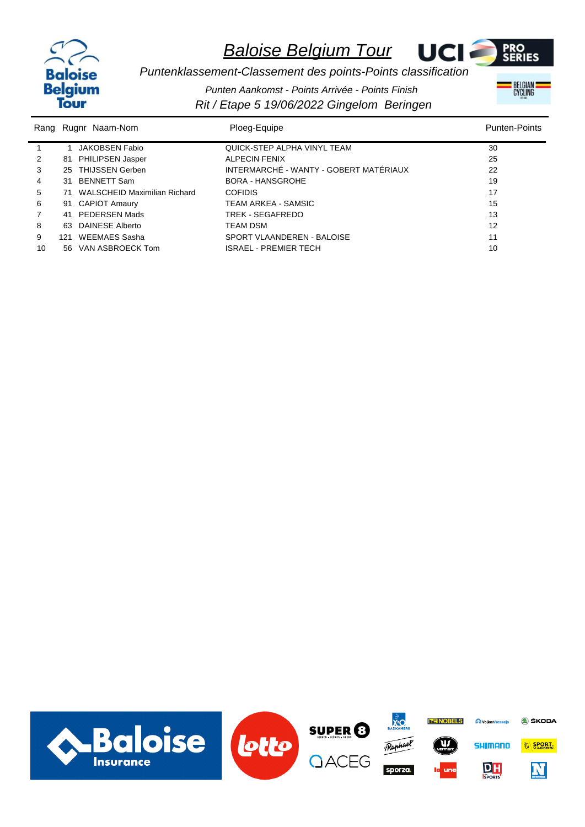



BELGIAN

*Puntenklassement-Classement des points-Points classification Punten Aankomst - Points Arrivée - Points Finish*

|    | Rang Rugnr Naam-Nom             | Ploeg-Equipe                           | <b>Punten-Points</b> |
|----|---------------------------------|----------------------------------------|----------------------|
|    | JAKOBSEN Fabio                  | QUICK-STEP ALPHA VINYL TEAM            | 30                   |
| 2  | 81 PHILIPSEN Jasper             | <b>ALPECIN FENIX</b>                   | 25                   |
| 3  | 25 THIJSSEN Gerben              | INTERMARCHÉ - WANTY - GOBERT MATÉRIAUX | 22                   |
| 4  | 31 BENNETT Sam                  | <b>BORA - HANSGROHE</b>                | 19                   |
| 5  | 71 WALSCHEID Maximilian Richard | <b>COFIDIS</b>                         | 17                   |
| 6  | 91 CAPIOT Amaury                | TEAM ARKEA - SAMSIC                    | 15                   |
| 7  | 41 PEDERSEN Mads                | TREK - SEGAFREDO                       | 13                   |
| 8  | 63 DAINESE Alberto              | <b>TEAM DSM</b>                        | 12                   |
| 9  | 121 WEEMAES Sasha               | SPORT VLAANDEREN - BALOISE             | 11                   |
| 10 | 56 VAN ASBROECK Tom             | <b>ISRAEL - PREMIER TECH</b>           | 10                   |

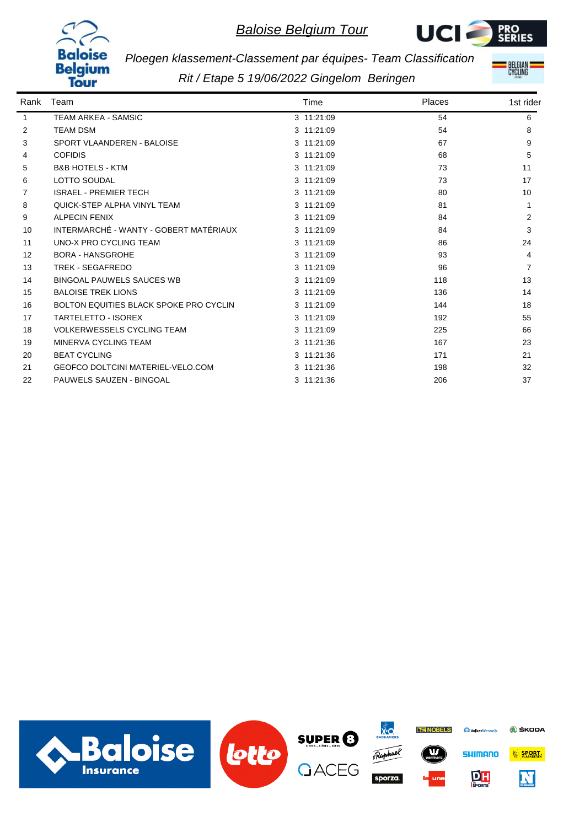



**BELGIAN**<br>CYCLING

*Ploegen klassement-Classement par équipes- Team Classification*

| Rank | Team                                          | Time       | Places | 1st rider |
|------|-----------------------------------------------|------------|--------|-----------|
| 1    | <b>TEAM ARKEA - SAMSIC</b>                    | 3 11:21:09 | 54     | 6         |
| 2    | <b>TEAM DSM</b>                               | 3 11:21:09 | 54     | 8         |
| 3    | SPORT VLAANDEREN - BALOISE                    | 3 11:21:09 | 67     | 9         |
| 4    | <b>COFIDIS</b>                                | 3 11:21:09 | 68     | 5         |
| 5    | <b>B&amp;B HOTELS - KTM</b>                   | 3 11:21:09 | 73     | 11        |
| 6    | <b>LOTTO SOUDAL</b>                           | 3 11:21:09 | 73     | 17        |
| 7    | <b>ISRAEL - PREMIER TECH</b>                  | 3 11:21:09 | 80     | 10        |
| 8    | QUICK-STEP ALPHA VINYL TEAM                   | 3 11:21:09 | 81     |           |
| 9    | <b>ALPECIN FENIX</b>                          | 3 11:21:09 | 84     | 2         |
| 10   | INTERMARCHÉ - WANTY - GOBERT MATÉRIAUX        | 3 11:21:09 | 84     | 3         |
| 11   | UNO-X PRO CYCLING TEAM                        | 3 11:21:09 | 86     | 24        |
| 12   | <b>BORA - HANSGROHE</b>                       | 3 11:21:09 | 93     | 4         |
| 13   | <b>TREK - SEGAFREDO</b>                       | 3 11:21:09 | 96     | 7         |
| 14   | <b>BINGOAL PAUWELS SAUCES WB</b>              | 3 11:21:09 | 118    | 13        |
| 15   | <b>BALOISE TREK LIONS</b>                     | 3 11:21:09 | 136    | 14        |
| 16   | <b>BOLTON EQUITIES BLACK SPOKE PRO CYCLIN</b> | 3 11:21:09 | 144    | 18        |
| 17   | <b>TARTELETTO - ISOREX</b>                    | 3 11:21:09 | 192    | 55        |
| 18   | <b>VOLKERWESSELS CYCLING TEAM</b>             | 3 11:21:09 | 225    | 66        |
| 19   | MINERVA CYCLING TEAM                          | 3 11:21:36 | 167    | 23        |
| 20   | <b>BEAT CYCLING</b>                           | 3 11:21:36 | 171    | 21        |
| 21   | <b>GEOFCO DOLTCINI MATERIEL-VELO.COM</b>      | 3 11:21:36 | 198    | 32        |
| 22   | <b>PAUWELS SAUZEN - BINGOAL</b>               | 3 11:21:36 | 206    | 37        |

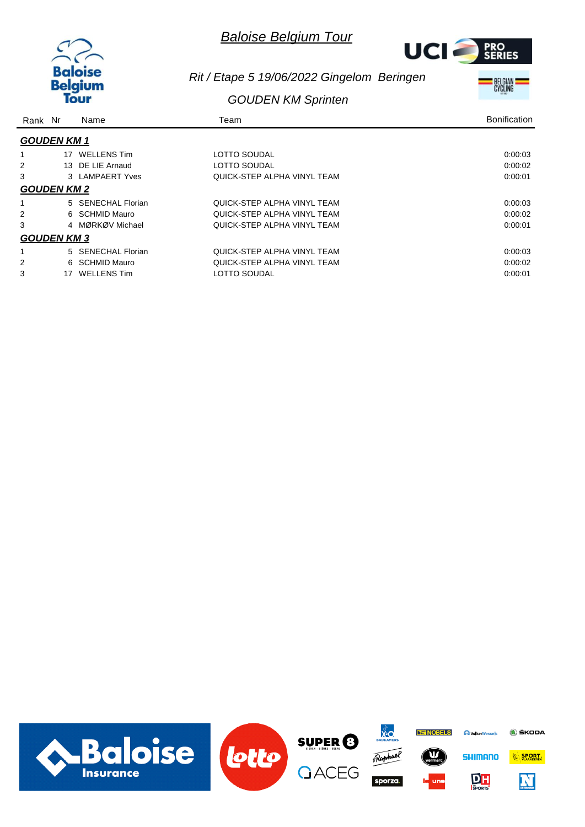



*Rit / Etape 5 19/06/2022 Gingelom Beringen*

### *GOUDEN KM Sprinten*



| Rank Nr |                    | Name               | Team                        | <b>Bonification</b> |
|---------|--------------------|--------------------|-----------------------------|---------------------|
|         | <b>GOUDEN KM 1</b> |                    |                             |                     |
|         | 17                 | WELLENS Tim        | LOTTO SOUDAL                | 0.00.03             |
| 2       |                    | 13 DE LIE Arnaud   | LOTTO SOUDAL                | 0.00.02             |
| 3       |                    | 3 LAMPAERT Yves    | QUICK-STEP ALPHA VINYL TEAM | 0:00:01             |
|         | <b>GOUDEN KM 2</b> |                    |                             |                     |
|         |                    | 5 SENECHAL Florian | QUICK-STEP ALPHA VINYL TEAM | 0:00:03             |
| 2       |                    | 6 SCHMID Mauro     | QUICK-STEP ALPHA VINYL TEAM | 0:00:02             |
| 3       | 4                  | MØRKØV Michael     | QUICK-STEP ALPHA VINYL TEAM | 0:00:01             |
|         | <b>GOUDEN KM 3</b> |                    |                             |                     |
|         |                    | 5 SENECHAL Florian | QUICK-STEP ALPHA VINYL TEAM | 0.00.03             |
| 2       | 6.                 | SCHMID Mauro       | QUICK-STEP ALPHA VINYL TEAM | 0:00:02             |
| 3       | 17                 | <b>WELLENS Tim</b> | LOTTO SOUDAL                | 0:00:01             |

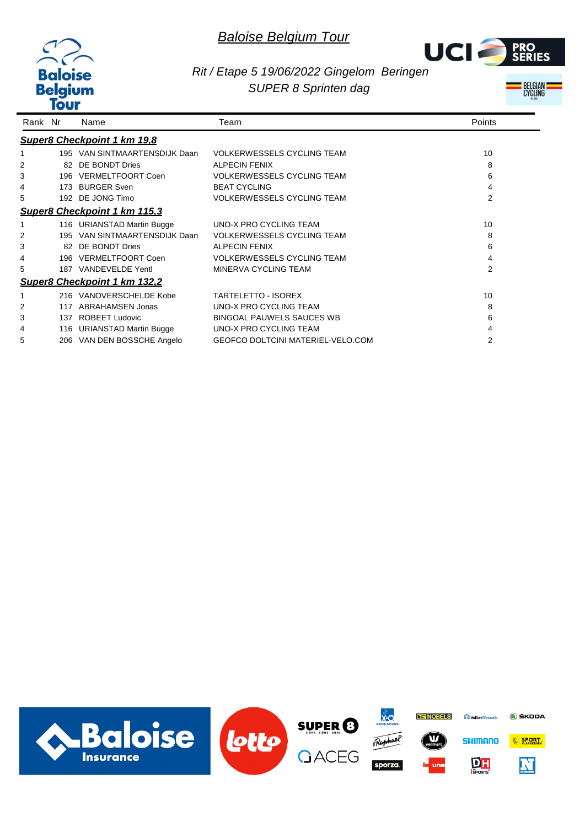



### *Rit / Etape 5 19/06/2022 Gingelom Beringen SUPER 8 Sprinten dag*

BELGIAN<br>CYCLING

| Rank Nr |     | Name                                | Team                                     | Points |
|---------|-----|-------------------------------------|------------------------------------------|--------|
|         |     | Super8 Checkpoint 1 km 19,8         |                                          |        |
|         |     | 195 VAN SINTMAARTENSDIJK Daan       | <b>VOLKERWESSELS CYCLING TEAM</b>        | 10     |
| 2       |     | 82 DE BONDT Dries                   | <b>ALPECIN FENIX</b>                     | 8      |
| 3       |     | 196 VERMELTFOORT Coen               | <b>VOLKERWESSELS CYCLING TEAM</b>        | 6      |
| 4       |     | 173 BURGER Sven                     | <b>BEAT CYCLING</b>                      | 4      |
| 5       |     | 192 DE JONG Timo                    | <b>VOLKERWESSELS CYCLING TEAM</b>        | 2      |
|         |     | Super8 Checkpoint 1 km 115,3        |                                          |        |
|         |     | 116 URIANSTAD Martin Bugge          | UNO-X PRO CYCLING TEAM                   | 10     |
| 2       |     | 195 VAN SINTMAARTENSDIJK Daan       | <b>VOLKERWESSELS CYCLING TEAM</b>        | 8      |
| 3       |     | 82 DE BONDT Dries                   | <b>ALPECIN FENIX</b>                     | 6      |
| 4       |     | 196 VERMELTFOORT Coen               | <b>VOLKERWESSELS CYCLING TEAM</b>        | 4      |
| 5       |     | 187 VANDEVELDE Yentl                | MINERVA CYCLING TEAM                     | 2      |
|         |     | <b>Super8 Checkpoint 1 km 132,2</b> |                                          |        |
|         |     | 216 VANOVERSCHELDE Kobe             | <b>TARTELETTO - ISOREX</b>               | 10     |
| 2       | 117 | ABRAHAMSEN Jonas                    | UNO-X PRO CYCLING TEAM                   | 8      |
| 3       |     | 137 ROBEET Ludovic                  | <b>BINGOAL PAUWELS SAUCES WB</b>         | 6      |
| 4       |     | 116 URIANSTAD Martin Bugge          | UNO-X PRO CYCLING TEAM                   |        |
| 5       |     | 206 VAN DEN BOSSCHE Angelo          | <b>GEOFCO DOLTCINI MATERIEL-VELO.COM</b> | 2      |

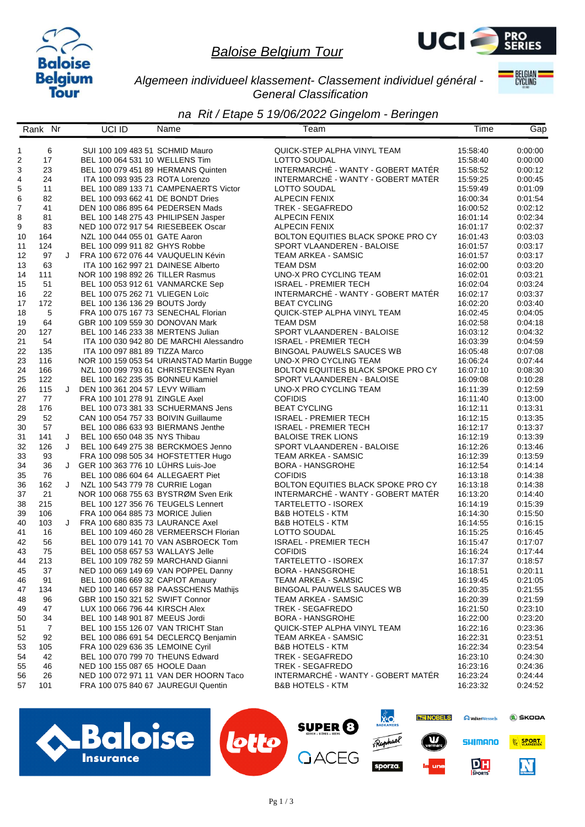



*Algemeen individueel klassement- Classement individuel général - General Classification*

**BELGIAN** 

|                  | Rank Nr    |   | UCI ID                              | Name                                      | Team                                      | Time     | Gap     |
|------------------|------------|---|-------------------------------------|-------------------------------------------|-------------------------------------------|----------|---------|
|                  |            |   |                                     |                                           |                                           |          |         |
| 1                | 6          |   | SUI 100 109 483 51 SCHMID Mauro     |                                           | QUICK-STEP ALPHA VINYL TEAM               | 15:58:40 | 0:00:00 |
| $\overline{c}$   | 17         |   | BEL 100 064 531 10 WELLENS Tim      |                                           | LOTTO SOUDAL                              | 15:58:40 | 0:00:00 |
| 3                | 23         |   | BEL 100 079 451 89 HERMANS Quinten  |                                           | INTERMARCHÉ - WANTY - GOBERT MATÉR        | 15:58:52 | 0:00:12 |
| $\overline{4}$   | 24         |   | ITA 100 093 935 23 ROTA Lorenzo     |                                           | INTERMARCHÉ - WANTY - GOBERT MATÉR        | 15:59:25 | 0:00:45 |
| 5                | 11         |   |                                     | BEL 100 089 133 71 CAMPENAERTS Victor     | LOTTO SOUDAL                              | 15:59:49 | 0:01:09 |
| 6                | 82         |   | BEL 100 093 662 41 DE BONDT Dries   |                                           | <b>ALPECIN FENIX</b>                      | 16:00:34 | 0:01:54 |
| $\boldsymbol{7}$ | 41         |   | DEN 100 086 895 64 PEDERSEN Mads    |                                           | TREK - SEGAFREDO                          | 16:00:52 | 0:02:12 |
| 8                | 81         |   | BEL 100 148 275 43 PHILIPSEN Jasper |                                           | ALPECIN FENIX                             | 16:01:14 | 0:02:34 |
| 9                | 83         |   | NED 100 072 917 54 RIESEBEEK Oscar  |                                           | <b>ALPECIN FENIX</b>                      | 16:01:17 | 0:02:37 |
| 10               | 164        |   | NZL 100 044 055 01 GATE Aaron       |                                           | BOLTON EQUITIES BLACK SPOKE PRO CY        | 16:01:43 | 0:03:03 |
| 11               | 124        |   | BEL 100 099 911 82 GHYS Robbe       |                                           | SPORT VLAANDEREN - BALOISE                | 16:01:57 | 0:03:17 |
| 12               | 97         | J | FRA 100 672 076 44 VAUQUELIN Kévin  |                                           | TEAM ARKEA - SAMSIC                       | 16:01:57 | 0:03:17 |
| 13               | 63         |   | ITA 100 162 997 21 DAINESE Alberto  |                                           | <b>TEAM DSM</b>                           | 16:02:00 | 0:03:20 |
| 14               | 111        |   | NOR 100 198 892 26 TILLER Rasmus    |                                           | UNO-X PRO CYCLING TEAM                    | 16:02:01 | 0:03:21 |
| 15               | 51         |   | BEL 100 053 912 61 VANMARCKE Sep    |                                           | <b>ISRAEL - PREMIER TECH</b>              | 16:02:04 | 0:03:24 |
| 16               | 22         |   | BEL 100 075 262 71 VLIEGEN Loïc     |                                           | INTERMARCHÉ - WANTY - GOBERT MATÉR        | 16:02:17 | 0:03:37 |
|                  | 172        |   | BEL 100 136 136 29 BOUTS Jordy      |                                           | <b>BEAT CYCLING</b>                       | 16:02:20 | 0:03:40 |
| 17               | $\sqrt{5}$ |   |                                     |                                           | QUICK-STEP ALPHA VINYL TEAM               |          |         |
| 18               |            |   | FRA 100 075 167 73 SENECHAL Florian |                                           |                                           | 16:02:45 | 0.04:05 |
| 19               | 64         |   | GBR 100 109 559 30 DONOVAN Mark     |                                           | <b>TEAM DSM</b>                           | 16:02:58 | 0:04:18 |
| 20               | 127        |   | BEL 100 146 233 38 MERTENS Julian   |                                           | SPORT VLAANDEREN - BALOISE                | 16:03:12 | 0:04:32 |
| 21               | 54         |   |                                     | ITA 100 030 942 80 DE MARCHI Alessandro   | <b>ISRAEL - PREMIER TECH</b>              | 16:03:39 | 0.04.59 |
| 22               | 135        |   | ITA 100 097 881 89 TIZZA Marco      |                                           | <b>BINGOAL PAUWELS SAUCES WB</b>          | 16:05:48 | 0:07:08 |
| 23               | 116        |   |                                     | NOR 100 159 053 54 URIANSTAD Martin Bugge | UNO-X PRO CYCLING TEAM                    | 16:06:24 | 0:07:44 |
| 24               | 166        |   |                                     | NZL 100 099 793 61 CHRISTENSEN Ryan       | <b>BOLTON EQUITIES BLACK SPOKE PRO CY</b> | 16:07:10 | 0:08:30 |
| 25               | 122        |   | BEL 100 162 235 35 BONNEU Kamiel    |                                           | SPORT VLAANDEREN - BALOISE                | 16:09:08 | 0:10:28 |
| 26               | 115        | J | DEN 100 361 204 57 LEVY William     |                                           | UNO-X PRO CYCLING TEAM                    | 16:11:39 | 0:12:59 |
| 27               | 77         |   | FRA 100 101 278 91 ZINGLE Axel      |                                           | <b>COFIDIS</b>                            | 16:11:40 | 0:13:00 |
| 28               | 176        |   |                                     | BEL 100 073 381 33 SCHUERMANS Jens        | <b>BEAT CYCLING</b>                       | 16:12:11 | 0:13:31 |
| 29               | 52         |   | CAN 100 054 757 33 BOIVIN Guillaume |                                           | <b>ISRAEL - PREMIER TECH</b>              | 16:12:15 | 0.13:35 |
| 30               | 57         |   | BEL 100 086 633 93 BIERMANS Jenthe  |                                           | <b>ISRAEL - PREMIER TECH</b>              | 16:12:17 | 0:13:37 |
| 31               | 141        |   | J BEL 100 650 048 35 NYS Thibau     |                                           | <b>BALOISE TREK LIONS</b>                 | 16:12:19 | 0.13:39 |
| 32               | 126        | J |                                     | BEL 100 649 275 38 BERCKMOES Jenno        | SPORT VLAANDEREN - BALOISE                | 16:12:26 | 0:13:46 |
| 33               | 93         |   |                                     | FRA 100 098 505 34 HOFSTETTER Hugo        | TEAM ARKEA - SAMSIC                       | 16:12:39 | 0:13:59 |
| 34               | 36         |   | J GER 100 363 776 10 LUHRS Luis-Joe |                                           | <b>BORA - HANSGROHE</b>                   | 16:12:54 | 0:14:14 |
| 35               | 76         |   | BEL 100 086 604 64 ALLEGAERT Piet   |                                           | <b>COFIDIS</b>                            | 16:13:18 | 0:14:38 |
| 36               | 162        | J | NZL 100 543 779 78 CURRIE Logan     |                                           | BOLTON EQUITIES BLACK SPOKE PRO CY        | 16:13:18 | 0:14:38 |
| 37               | 21         |   |                                     | NOR 100 068 755 63 BYSTRØM Sven Erik      | INTERMARCHÉ - WANTY - GOBERT MATÉR        | 16:13:20 | 0.14:40 |
| 38               | 215        |   | BEL 100 127 356 76 TEUGELS Lennert  |                                           | TARTELETTO - ISOREX                       | 16:14:19 | 0:15:39 |
| 39               | 106        |   | FRA 100 064 885 73 MORICE Julien    |                                           | <b>B&amp;B HOTELS - KTM</b>               | 16:14:30 | 0.15:50 |
| 40               | 103        | J | FRA 100 680 835 73 LAURANCE Axel    |                                           | <b>B&amp;B HOTELS - KTM</b>               | 16:14:55 | 0:16:15 |
| 41               | 16         |   |                                     | BEL 100 109 460 28 VERMEERSCH Florian     | <b>LOTTO SOUDAL</b>                       | 16:15:25 | 0:16:45 |
| 42               | 56         |   |                                     | BEL 100 079 141 70 VAN ASBROECK Tom       | <b>ISRAEL - PREMIER TECH</b>              | 16:15:47 | 0:17:07 |
| 43               | 75         |   | BEL 100 058 657 53 WALLAYS Jelle    |                                           | <b>COFIDIS</b>                            | 16:16:24 | 0:17:44 |
| 44               | 213        |   |                                     | BEL 100 109 782 59 MARCHAND Gianni        | TARTELETTO - ISOREX                       | 16:17:37 | 0:18:57 |
| 45               | 37         |   |                                     | NED 100 069 149 69 VAN POPPEL Danny       | BORA - HANSGROHE                          | 16:18:51 | 0:20:11 |
| 46               | 91         |   | BEL 100 086 669 32 CAPIOT Amaury    |                                           | TEAM ARKEA - SAMSIC                       | 16:19:45 | 0:21:05 |
| 47               | 134        |   |                                     | NED 100 140 657 88 PAASSCHENS Mathijs     | BINGOAL PAUWELS SAUCES WB                 | 16:20:35 | 0:21:55 |
| 48               | 96         |   | GBR 100 150 321 52 SWIFT Connor     |                                           | TEAM ARKEA - SAMSIC                       | 16:20:39 | 0:21:59 |
| 49               | 47         |   | LUX 100 066 796 44 KIRSCH Alex      |                                           | TREK - SEGAFREDO                          | 16:21:50 | 0.23:10 |
| 50               | 34         |   | BEL 100 148 901 87 MEEUS Jordi      |                                           | <b>BORA - HANSGROHE</b>                   | 16:22:00 | 0:23:20 |
| 51               | 7          |   | BEL 100 155 126 07 VAN TRICHT Stan  |                                           | QUICK-STEP ALPHA VINYL TEAM               | 16:22:16 | 0:23:36 |
| 52               | 92         |   |                                     | BEL 100 086 691 54 DECLERCQ Benjamin      | TEAM ARKEA - SAMSIC                       | 16:22:31 | 0.23:51 |
| 53               | 105        |   | FRA 100 029 636 35 LEMOINE Cyril    |                                           | <b>B&amp;B HOTELS - KTM</b>               | 16:22:34 | 0:23:54 |
| 54               | 42         |   | BEL 100 070 799 70 THEUNS Edward    |                                           | TREK - SEGAFREDO                          | 16:23:10 | 0:24:30 |
| 55               | 46         |   | NED 100 155 087 65 HOOLE Daan       |                                           | TREK - SEGAFREDO                          | 16:23:16 | 0:24:36 |
|                  |            |   |                                     | NED 100 072 971 11 VAN DER HOORN Taco     | INTERMARCHÉ - WANTY - GOBERT MATÉR        |          |         |
| 56               | 26         |   |                                     |                                           |                                           | 16:23:24 | 0:24:44 |
| 57               | 101        |   | FRA 100 075 840 67 JAUREGUI Quentin |                                           | <b>B&amp;B HOTELS - KTM</b>               | 16:23:32 | 0.24.52 |
|                  |            |   |                                     |                                           |                                           |          |         |

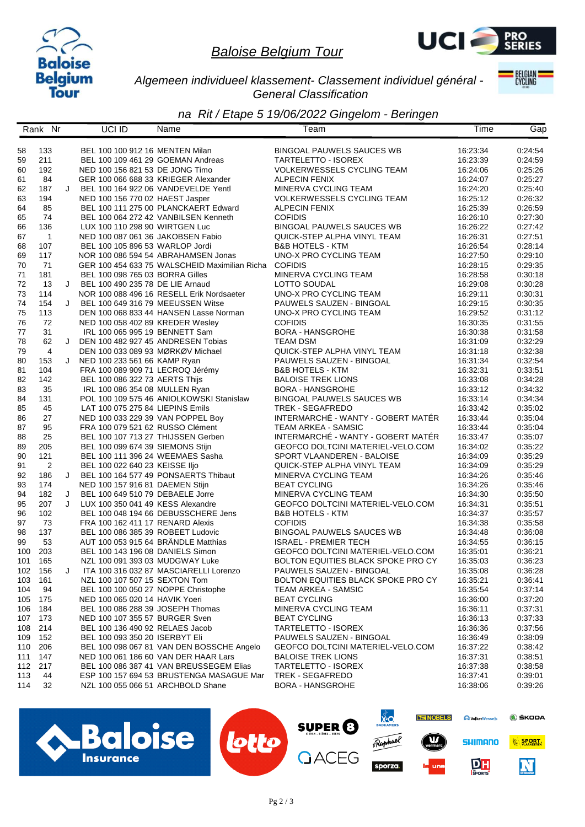



*Algemeen individueel klassement- Classement individuel général - General Classification*

**BELGIAN** 

|     | Rank Nr        |   | UCI ID                         | Name                                                                 | Team                                                    | Time                 | Gap                |
|-----|----------------|---|--------------------------------|----------------------------------------------------------------------|---------------------------------------------------------|----------------------|--------------------|
|     |                |   |                                |                                                                      |                                                         |                      |                    |
| 58  | 133            |   |                                | BEL 100 100 912 16 MENTEN Milan                                      | <b>BINGOAL PAUWELS SAUCES WB</b>                        | 16:23:34             | 0:24:54            |
| 59  | 211            |   |                                | BEL 100 109 461 29 GOEMAN Andreas                                    | TARTELETTO - ISOREX                                     | 16:23:39             | 0:24:59            |
| 60  | 192            |   |                                | NED 100 156 821 53 DE JONG Timo                                      | <b>VOLKERWESSELS CYCLING TEAM</b>                       | 16:24:06             | 0:25:26            |
| 61  | 84             |   |                                | GER 100 066 688 33 KRIEGER Alexander                                 | <b>ALPECIN FENIX</b>                                    | 16:24:07             | 0:25:27            |
| 62  | 187            | J |                                | BEL 100 164 922 06 VANDEVELDE Yentl                                  | MINERVA CYCLING TEAM                                    | 16:24:20             | 0:25:40            |
| 63  | 194            |   |                                | NED 100 156 770 02 HAEST Jasper                                      | <b>VOLKERWESSELS CYCLING TEAM</b>                       | 16:25:12             | 0:26:32            |
| 64  | 85             |   |                                | BEL 100 111 275 00 PLANCKAERT Edward                                 | <b>ALPECIN FENIX</b>                                    | 16:25:39             | 0:26:59            |
| 65  | 74             |   |                                | BEL 100 064 272 42 VANBILSEN Kenneth                                 | <b>COFIDIS</b>                                          | 16:26:10             | 0.27:30            |
| 66  | 136            |   |                                | LUX 100 110 298 90 WIRTGEN Luc                                       | <b>BINGOAL PAUWELS SAUCES WB</b>                        | 16:26:22             | 0:27:42            |
| 67  | $\overline{1}$ |   |                                | NED 100 087 061 36 JAKOBSEN Fabio                                    | QUICK-STEP ALPHA VINYL TEAM                             | 16:26:31             | 0:27:51            |
| 68  | 107            |   |                                | BEL 100 105 896 53 WARLOP Jordi                                      | <b>B&amp;B HOTELS - KTM</b>                             | 16:26:54             | 0:28:14            |
| 69  | 117            |   |                                | NOR 100 086 594 54 ABRAHAMSEN Jonas                                  | UNO-X PRO CYCLING TEAM                                  | 16:27:50             | 0:29:10            |
| 70  | 71             |   |                                | GER 100 454 633 75 WALSCHEID Maximilian Richa                        | <b>COFIDIS</b>                                          | 16:28:15             | 0.29.35            |
| 71  | 181            |   |                                | BEL 100 098 765 03 BORRA Gilles                                      | MINERVA CYCLING TEAM                                    | 16:28:58             | 0:30:18            |
| 72  | 13             | J |                                | BEL 100 490 235 78 DE LIE Arnaud                                     | LOTTO SOUDAL                                            | 16:29:08             | 0:30:28            |
| 73  | 114            |   |                                | NOR 100 088 496 16 RESELL Erik Nordsaeter                            | UNO-X PRO CYCLING TEAM                                  | 16:29:11             | 0:30:31            |
| 74  | 154            | J |                                | BEL 100 649 316 79 MEEUSSEN Witse                                    | PAUWELS SAUZEN - BINGOAL                                | 16:29:15             | 0:30:35            |
| 75  | 113            |   |                                | DEN 100 068 833 44 HANSEN Lasse Norman                               | UNO-X PRO CYCLING TEAM                                  | 16:29:52             | 0:31:12            |
| 76  | 72             |   |                                | NED 100 058 402 89 KREDER Wesley                                     | <b>COFIDIS</b>                                          | 16:30:35             | 0:31:55            |
| 77  |                |   |                                |                                                                      |                                                         |                      |                    |
| 78  | 31<br>62       | J |                                | IRL 100 065 995 19 BENNETT Sam<br>DEN 100 482 927 45 ANDRESEN Tobias | <b>BORA - HANSGROHE</b><br><b>TEAM DSM</b>              | 16:30:38<br>16:31:09 | 0:31:58<br>0:32:29 |
|     |                |   |                                |                                                                      |                                                         |                      |                    |
| 79  | $\overline{4}$ |   |                                | DEN 100 033 089 93 MØRKØV Michael                                    | QUICK-STEP ALPHA VINYL TEAM<br>PAUWELS SAUZEN - BINGOAL | 16:31:18             | 0:32:38            |
| 80  | 153            |   | J NED 100 233 561 66 KAMP Ryan |                                                                      |                                                         | 16:31:34             | 0:32:54            |
| 81  | 104            |   |                                | FRA 100 089 909 71 LECROQ Jérémy                                     | <b>B&amp;B HOTELS - KTM</b>                             | 16:32:31             | 0:33:51            |
| 82  | 142            |   |                                | BEL 100 086 322 73 AERTS Thijs                                       | <b>BALOISE TREK LIONS</b>                               | 16:33:08             | 0:34:28            |
| 83  | 35             |   |                                | IRL 100 086 354 08 MULLEN Ryan                                       | <b>BORA - HANSGROHE</b>                                 | 16:33:12             | 0:34:32            |
| 84  | 131            |   |                                | POL 100 109 575 46 ANIOLKOWSKI Stanislaw                             | <b>BINGOAL PAUWELS SAUCES WB</b>                        | 16:33:14             | 0:34:34            |
| 85  | 45             |   |                                | LAT 100 075 275 84 LIEPINS Emils                                     | TREK - SEGAFREDO                                        | 16:33:42             | 0:35:02            |
| 86  | 27             |   |                                | NED 100 033 229 39 VAN POPPEL Boy                                    | INTERMARCHÉ - WANTY - GOBERT MATÉR                      | 16:33:44             | 0.35.04            |
| 87  | 95             |   |                                | FRA 100 079 521 62 RUSSO Clément                                     | TEAM ARKEA - SAMSIC                                     | 16:33:44             | 0.35.04            |
| 88  | 25             |   |                                | BEL 100 107 713 27 THIJSSEN Gerben                                   | INTERMARCHÉ - WANTY - GOBERT MATÉR                      | 16:33:47             | 0:35:07            |
| 89  | 205            |   |                                | BEL 100 099 674 39 SIEMONS Stijn                                     | GEOFCO DOLTCINI MATERIEL-VELO.COM                       | 16:34:02             | 0:35:22            |
| 90  | 121            |   |                                | BEL 100 111 396 24 WEEMAES Sasha                                     | SPORT VLAANDEREN - BALOISE                              | 16:34:09             | 0:35:29            |
| 91  | 2              |   | BEL 100 022 640 23 KEISSE IIjo |                                                                      | QUICK-STEP ALPHA VINYL TEAM                             | 16:34:09             | 0:35:29            |
| 92  | 186            | J |                                | BEL 100 164 577 49 PONSAERTS Thibaut                                 | MINERVA CYCLING TEAM                                    | 16:34:26             | 0:35:46            |
| 93  | 174            |   |                                | NED 100 157 916 81 DAEMEN Stijn                                      | <b>BEAT CYCLING</b>                                     | 16:34:26             | 0:35:46            |
| 94  | 182            | J |                                | BEL 100 649 510 79 DEBAELE Jorre                                     | MINERVA CYCLING TEAM                                    | 16:34:30             | 0:35:50            |
| 95  | 207            | J |                                | LUX 100 350 041 49 KESS Alexandre                                    | GEOFCO DOLTCINI MATERIEL-VELO.COM                       | 16:34:31             | 0:35:51            |
| 96  | 102            |   |                                | BEL 100 048 194 66 DEBUSSCHERE Jens                                  | <b>B&amp;B HOTELS - KTM</b>                             | 16:34:37             | 0:35:57            |
| 97  | 73             |   |                                | FRA 100 162 411 17 RENARD Alexis                                     | <b>COFIDIS</b>                                          | 16:34:38             | 0.35.58            |
| 98  | 137            |   |                                | BEL 100 086 385 39 ROBEET Ludovic                                    | <b>BINGOAL PAUWELS SAUCES WB</b>                        | 16:34:48             | 0:36:08            |
| 99  | 53             |   |                                | AUT 100 053 915 64 BRÄNDLE Matthias                                  | <b>ISRAEL - PREMIER TECH</b>                            | 16:34:55             | 0:36:15            |
| 100 | 203            |   |                                | BEL 100 143 196 08 DANIELS Simon                                     | GEOFCO DOLTCINI MATERIEL-VELO.COM                       | 16:35:01             | 0:36:21            |
| 101 | 165            |   |                                | NZL 100 091 393 03 MUDGWAY Luke                                      | <b>BOLTON EQUITIES BLACK SPOKE PRO CY</b>               | 16:35:03             | 0:36:23            |
|     | 102 156        | J |                                | ITA 100 316 032 87 MASCIARELLI Lorenzo                               | PAUWELS SAUZEN - BINGOAL                                | 16:35:08             | 0:36:28            |
| 103 | 161            |   |                                | NZL 100 107 507 15 SEXTON Tom                                        | <b>BOLTON EQUITIES BLACK SPOKE PRO CY</b>               | 16:35:21             | 0:36:41            |
| 104 | 94             |   |                                | BEL 100 100 050 27 NOPPE Christophe                                  | TEAM ARKEA - SAMSIC                                     | 16:35:54             | 0.37.14            |
| 105 | 175            |   | NED 100 065 020 14 HAVIK Yoeri |                                                                      | <b>BEAT CYCLING</b>                                     | 16:36:00             | 0:37:20            |
| 106 | 184            |   |                                | BEL 100 086 288 39 JOSEPH Thomas                                     | MINERVA CYCLING TEAM                                    | 16:36:11             | 0:37:31            |
| 107 | 173            |   |                                | NED 100 107 355 57 BURGER Sven                                       | <b>BEAT CYCLING</b>                                     | 16:36:13             | 0:37:33            |
| 108 | 214            |   |                                | BEL 100 136 490 92 RELAES Jacob                                      | TARTELETTO - ISOREX                                     | 16:36:36             | 0:37:56            |
| 109 | 152            |   |                                | BEL 100 093 350 20 ISERBYT Eli                                       | PAUWELS SAUZEN - BINGOAL                                | 16:36:49             | 0:38:09            |
| 110 | 206            |   |                                | BEL 100 098 067 81 VAN DEN BOSSCHE Angelo                            | GEOFCO DOLTCINI MATERIEL-VELO.COM                       | 16:37:22             | 0:38:42            |
| 111 | 147            |   |                                | NED 100 061 186 60 VAN DER HAAR Lars                                 | <b>BALOISE TREK LIONS</b>                               | 16:37:31             | 0:38:51            |
| 112 | 217            |   |                                | BEL 100 086 387 41 VAN BREUSSEGEM Elias                              | TARTELETTO - ISOREX                                     | 16:37:38             | 0:38:58            |
| 113 | 44             |   |                                | ESP 100 157 694 53 BRUSTENGA MASAGUE Mar                             | TREK - SEGAFREDO                                        | 16:37:41             | 0:39:01            |
| 114 | 32             |   |                                | NZL 100 055 066 51 ARCHBOLD Shane                                    | <b>BORA - HANSGROHE</b>                                 | 16:38:06             | 0:39:26            |
|     |                |   |                                |                                                                      |                                                         |                      |                    |

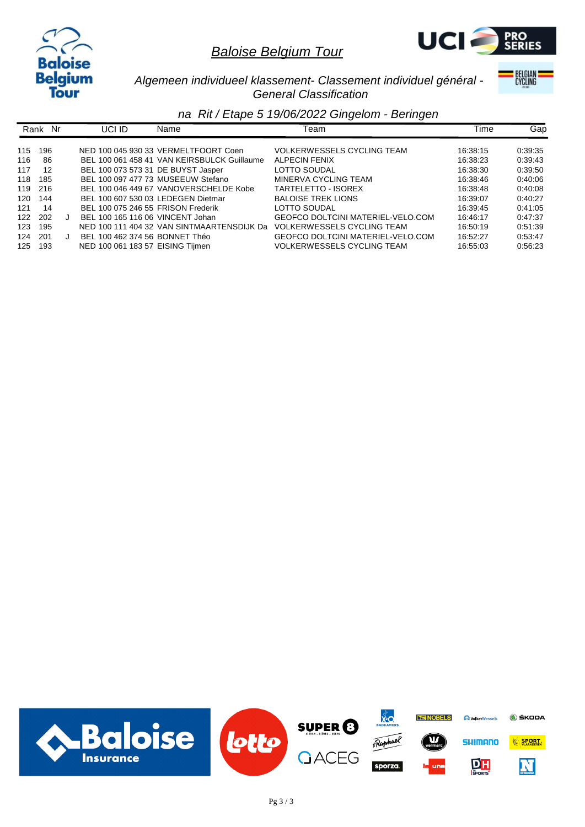



*Algemeen individueel klassement- Classement individuel général - General Classification*

**BELGIAN** 

|     | Rank Nr | UCI ID                             | Name                                        | ⊺eam                              | Time     | Gap     |
|-----|---------|------------------------------------|---------------------------------------------|-----------------------------------|----------|---------|
| 115 | 196     |                                    | NED 100 045 930 33 VERMELTFOORT Coen        | <b>VOLKERWESSELS CYCLING TEAM</b> | 16:38:15 | 0.39.35 |
| 116 | 86      |                                    | BEL 100 061 458 41 VAN KEIRSBULCK Guillaume | ALPECIN FENIX                     | 16:38:23 | 0:39:43 |
| 117 | 12      | BEL 100 073 573 31 DE BUYST Jasper |                                             | LOTTO SOUDAL                      | 16:38:30 | 0:39:50 |
| 118 | 185     |                                    | BEL 100 097 477 73 MUSEEUW Stefano          | MINERVA CYCLING TEAM              | 16:38:46 | 0:40:06 |
| 119 | 216     |                                    | BEL 100 046 449 67 VANOVERSCHELDE Kobe      | TARTELETTO - ISOREX               | 16:38:48 | 0:40:08 |
| 120 | 144     | BEL 100 607 530 03 LEDEGEN Dietmar |                                             | <b>BALOISE TREK LIONS</b>         | 16:39:07 | 0:40:27 |
| 121 | 14      | BEL 100 075 246 55 FRISON Frederik |                                             | LOTTO SOUDAL                      | 16:39:45 | 0:41:05 |
| 122 | 202     | BEL 100 165 116 06 VINCENT Johan   |                                             | GEOFCO DOLTCINI MATERIEL-VELO.COM | 16:46:17 | 0.47:37 |
| 123 | 195     |                                    | NED 100 111 404 32 VAN SINTMAARTENSDIJK Da  | <b>VOLKERWESSELS CYCLING TEAM</b> | 16:50:19 | 0:51:39 |
| 124 | 201     | BEL 100 462 374 56 BONNET Théo     |                                             | GEOFCO DOLTCINI MATERIEL-VELO.COM | 16:52:27 | 0:53:47 |
| 125 | 193     | NED 100 061 183 57 EISING Tijmen   |                                             | <b>VOLKERWESSELS CYCLING TEAM</b> | 16:55:03 | 0:56:23 |

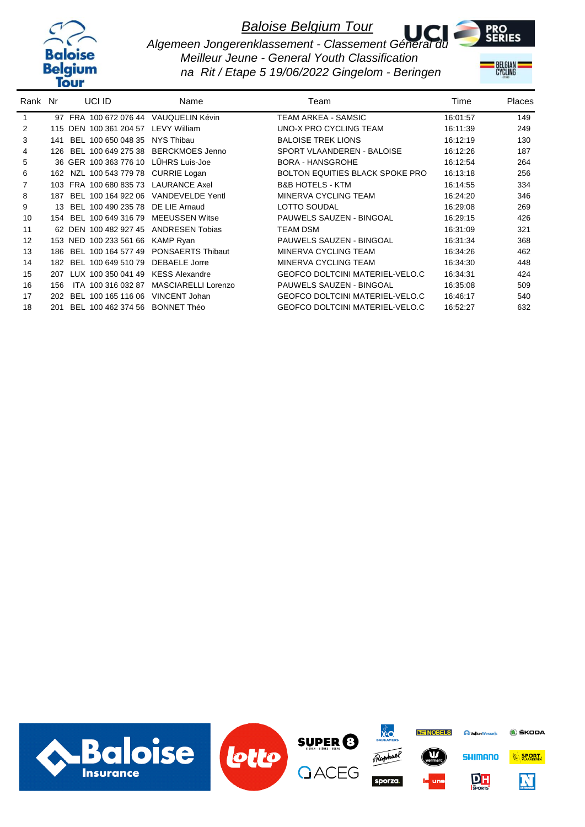



*Algemeen Jongerenklassement - Classement Géneral du Meilleur Jeune - General Youth Classification na Rit / Etape 5 19/06/2022 Gingelom - Beringen*

BELGIAN <mark>:</mark><br>Cycling

| Rank Nr |     | UCI ID                                | Name                       | Team                                   | Time     | <b>Places</b> |
|---------|-----|---------------------------------------|----------------------------|----------------------------------------|----------|---------------|
| 1       |     | 97 FRA 100 672 076 44 VAUQUELIN Kévin |                            | TEAM ARKEA - SAMSIC                    | 16:01:57 | 149           |
| 2       |     | 115 DEN 100 361 204 57                | <b>LEVY William</b>        | UNO-X PRO CYCLING TEAM                 | 16:11:39 | 249           |
| 3       | 141 | BEL 100 650 048 35                    | NYS Thibau                 | <b>BALOISE TREK LIONS</b>              | 16:12:19 | 130           |
| 4       | 126 | BEL 100 649 275 38                    | <b>BERCKMOES Jenno</b>     | SPORT VLAANDEREN - BALOISE             | 16:12:26 | 187           |
| 5       |     | 36 GER 100 363 776 10                 | LÜHRS Luis-Joe             | <b>BORA - HANSGROHE</b>                | 16:12:54 | 264           |
| 6       | 162 | NZL 100 543 779 78 CURRIE Logan       |                            | <b>BOLTON EQUITIES BLACK SPOKE PRO</b> | 16:13:18 | 256           |
|         | 103 | FRA 100 680 835 73 LAURANCE Axel      |                            | <b>B&amp;B HOTELS - KTM</b>            | 16:14:55 | 334           |
| 8       | 187 | BEL 100 164 922 06                    | <b>VANDEVELDE Yentl</b>    | MINERVA CYCLING TEAM                   | 16:24:20 | 346           |
| 9       | 13. | BEL 100 490 235 78                    | DE LIE Arnaud              | <b>LOTTO SOUDAL</b>                    | 16:29:08 | 269           |
| 10      | 154 | BEL 100 649 316 79                    | <b>MEEUSSEN Witse</b>      | PAUWELS SAUZEN - BINGOAL               | 16:29:15 | 426           |
| 11      |     | 62 DEN 100 482 927 45                 | <b>ANDRESEN Tobias</b>     | <b>TEAM DSM</b>                        | 16:31:09 | 321           |
| 12      |     | 153 NED 100 233 561 66                | <b>KAMP Ryan</b>           | PAUWELS SAUZEN - BINGOAL               | 16:31:34 | 368           |
| 13      | 186 | BEL 100 164 577 49                    | <b>PONSAERTS Thibaut</b>   | MINERVA CYCLING TEAM                   | 16:34:26 | 462           |
| 14      | 182 | BEL 100 649 510 79                    | <b>DEBAELE Jorre</b>       | MINERVA CYCLING TEAM                   | 16:34:30 | 448           |
| 15      | 207 | LUX 100 350 041 49                    | <b>KESS Alexandre</b>      | <b>GEOFCO DOLTCINI MATERIEL-VELO.C</b> | 16:34:31 | 424           |
| 16      | 156 | 100 316 032 87<br>ITA.                | <b>MASCIARELLI Lorenzo</b> | <b>PAUWELS SAUZEN - BINGOAL</b>        | 16:35:08 | 509           |
| 17      | 202 | 100 165 116 06<br>BEL                 | <b>VINCENT Johan</b>       | <b>GEOFCO DOLTCINI MATERIEL-VELO.C</b> | 16:46:17 | 540           |
| 18      | 201 | BEL 100 462 374 56                    | <b>BONNET Théo</b>         | <b>GEOFCO DOLTCINI MATERIEL-VELO.C</b> | 16:52:27 | 632           |

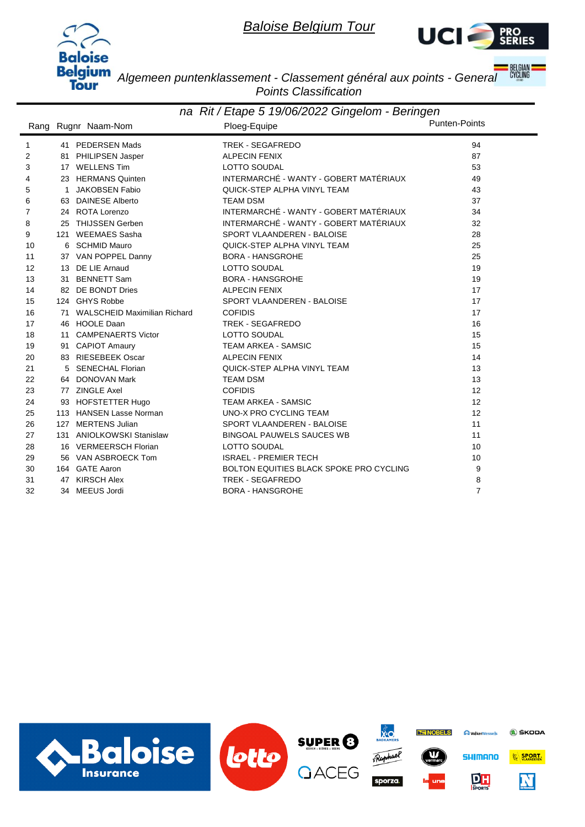



**BELGIAN**<br>CYCLING

*Algemeen puntenklassement - Classement général aux points - General Points Classification*

| na Rit / Etape 5 19/06/2022 Gingelom - Beringen |              |                                 |                                         |                |  |  |
|-------------------------------------------------|--------------|---------------------------------|-----------------------------------------|----------------|--|--|
|                                                 |              | Rang Rugnr Naam-Nom             | Ploeg-Equipe                            | Punten-Points  |  |  |
| $\mathbf{1}$                                    |              | 41 PEDERSEN Mads                | TREK - SEGAFREDO                        | 94             |  |  |
| 2                                               |              | 81 PHILIPSEN Jasper             | <b>ALPECIN FENIX</b>                    | 87             |  |  |
| 3                                               |              | 17 WELLENS Tim                  | LOTTO SOUDAL                            | 53             |  |  |
| 4                                               |              | 23 HERMANS Quinten              | INTERMARCHÉ - WANTY - GOBERT MATÉRIAUX  | 49             |  |  |
| 5                                               | $\mathbf{1}$ | JAKOBSEN Fabio                  | QUICK-STEP ALPHA VINYL TEAM             | 43             |  |  |
| 6                                               |              | 63 DAINESE Alberto              | <b>TEAM DSM</b>                         | 37             |  |  |
| $\overline{7}$                                  |              | 24 ROTA Lorenzo                 | INTERMARCHÉ - WANTY - GOBERT MATÉRIAUX  | 34             |  |  |
| 8                                               |              | 25 THIJSSEN Gerben              | INTERMARCHÉ - WANTY - GOBERT MATÉRIAUX  | 32             |  |  |
| 9                                               |              | 121 WEEMAES Sasha               | SPORT VLAANDEREN - BALOISE              | 28             |  |  |
| 10                                              | 6            | <b>SCHMID Mauro</b>             | QUICK-STEP ALPHA VINYL TEAM             | 25             |  |  |
| 11                                              |              | 37 VAN POPPEL Danny             | <b>BORA - HANSGROHE</b>                 | 25             |  |  |
| 12                                              |              | 13 DE LIE Arnaud                | <b>LOTTO SOUDAL</b>                     | 19             |  |  |
| 13                                              |              | 31 BENNETT Sam                  | <b>BORA - HANSGROHE</b>                 | 19             |  |  |
| 14                                              |              | 82 DE BONDT Dries               | <b>ALPECIN FENIX</b>                    | 17             |  |  |
| 15                                              |              | 124 GHYS Robbe                  | SPORT VLAANDEREN - BALOISE              | 17             |  |  |
| 16                                              |              | 71 WALSCHEID Maximilian Richard | <b>COFIDIS</b>                          | 17             |  |  |
| 17                                              |              | 46 HOOLE Daan                   | <b>TREK - SEGAFREDO</b>                 | 16             |  |  |
| 18                                              |              | 11 CAMPENAERTS Victor           | LOTTO SOUDAL                            | 15             |  |  |
| 19                                              |              | 91 CAPIOT Amaury                | <b>TEAM ARKEA - SAMSIC</b>              | 15             |  |  |
| 20                                              |              | 83 RIESEBEEK Oscar              | <b>ALPECIN FENIX</b>                    | 14             |  |  |
| 21                                              |              | 5 SENECHAL Florian              | QUICK-STEP ALPHA VINYL TEAM             | 13             |  |  |
| 22                                              |              | 64 DONOVAN Mark                 | <b>TEAM DSM</b>                         | 13             |  |  |
| 23                                              |              | 77 ZINGLE Axel                  | <b>COFIDIS</b>                          | 12             |  |  |
| 24                                              |              | 93 HOFSTETTER Hugo              | <b>TEAM ARKEA - SAMSIC</b>              | 12             |  |  |
| 25                                              |              | 113 HANSEN Lasse Norman         | UNO-X PRO CYCLING TEAM                  | 12             |  |  |
| 26                                              |              | 127 MERTENS Julian              | SPORT VLAANDEREN - BALOISE              | 11             |  |  |
| 27                                              |              | 131 ANIOLKOWSKI Stanislaw       | <b>BINGOAL PAUWELS SAUCES WB</b>        | 11             |  |  |
| 28                                              |              | 16 VERMEERSCH Florian           | LOTTO SOUDAL                            | 10             |  |  |
| 29                                              |              | 56 VAN ASBROECK Tom             | <b>ISRAEL - PREMIER TECH</b>            | 10             |  |  |
| 30                                              |              | 164 GATE Aaron                  | BOLTON EQUITIES BLACK SPOKE PRO CYCLING | 9              |  |  |
| 31                                              |              | 47 KIRSCH Alex                  | <b>TREK - SEGAFREDO</b>                 | 8              |  |  |
| 32                                              |              | 34 MEEUS Jordi                  | <b>BORA - HANSGROHE</b>                 | $\overline{7}$ |  |  |

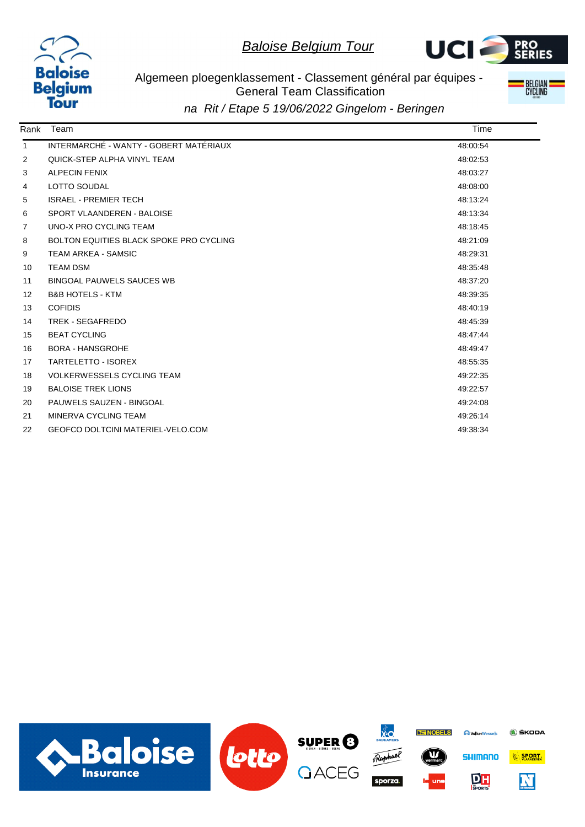



Algemeen ploegenklassement - Classement général par équipes - General Team Classification



| Rank              | Team                                     | Time     |
|-------------------|------------------------------------------|----------|
| $\mathbf{1}$      | INTERMARCHÉ - WANTY - GOBERT MATÉRIAUX   | 48:00:54 |
| $\overline{2}$    | QUICK-STEP ALPHA VINYL TEAM              | 48:02:53 |
| 3                 | <b>ALPECIN FENIX</b>                     | 48:03:27 |
| 4                 | <b>LOTTO SOUDAL</b>                      | 48:08:00 |
| 5                 | <b>ISRAEL - PREMIER TECH</b>             | 48:13:24 |
| 6                 | SPORT VLAANDEREN - BALOISE               | 48:13:34 |
| $\overline{7}$    | UNO-X PRO CYCLING TEAM                   | 48:18:45 |
| 8                 | BOLTON EQUITIES BLACK SPOKE PRO CYCLING  | 48:21:09 |
| 9                 | <b>TEAM ARKEA - SAMSIC</b>               | 48:29:31 |
| 10                | <b>TEAM DSM</b>                          | 48:35:48 |
| 11                | <b>BINGOAL PAUWELS SAUCES WB</b>         | 48:37:20 |
| $12 \overline{ }$ | <b>B&amp;B HOTELS - KTM</b>              | 48:39:35 |
| 13                | <b>COFIDIS</b>                           | 48:40:19 |
| 14                | <b>TREK - SEGAFREDO</b>                  | 48:45:39 |
| 15                | <b>BEAT CYCLING</b>                      | 48:47:44 |
| 16                | <b>BORA - HANSGROHE</b>                  | 48:49:47 |
| 17                | <b>TARTELETTO - ISOREX</b>               | 48:55:35 |
| 18                | <b>VOLKERWESSELS CYCLING TEAM</b>        | 49:22:35 |
| 19                | <b>BALOISE TREK LIONS</b>                | 49:22:57 |
| 20                | PAUWELS SAUZEN - BINGOAL                 | 49:24:08 |
| 21                | MINERVA CYCLING TEAM                     | 49:26:14 |
| 22                | <b>GEOFCO DOLTCINI MATERIEL-VELO.COM</b> | 49:38:34 |
|                   |                                          |          |

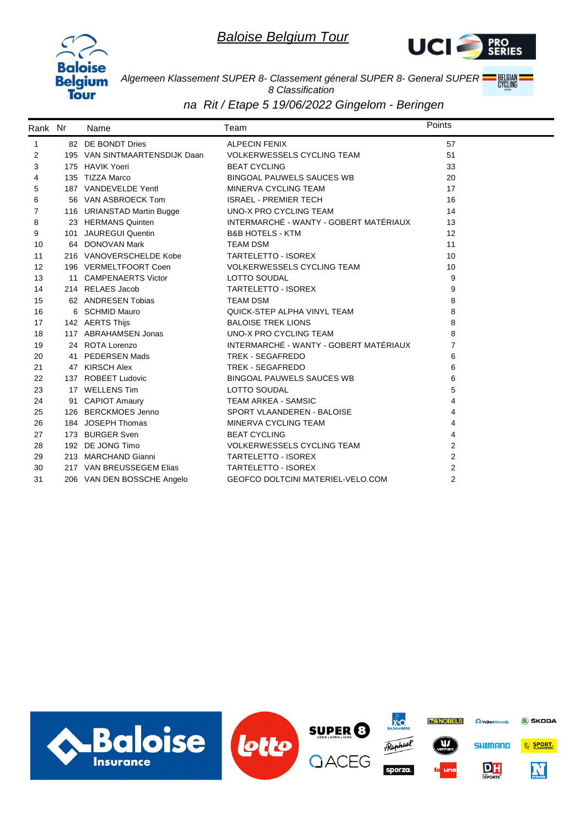



*Algemeen Klassement SUPER 8- Classement géneral SUPER 8- General SUPER 8 Classification*

| Rank Nr | Name                          | Team                                     | Points         |
|---------|-------------------------------|------------------------------------------|----------------|
| 1       | 82 DE BONDT Dries             | <b>ALPECIN FENIX</b>                     | 57             |
| 2       | 195 VAN SINTMAARTENSDIJK Daan | <b>VOLKERWESSELS CYCLING TEAM</b>        | 51             |
| 3       | 175 HAVIK Yoeri               | <b>BEAT CYCLING</b>                      | 33             |
| 4       | 135 TIZZA Marco               | <b>BINGOAL PAUWELS SAUCES WB</b>         | 20             |
| 5       | 187 VANDEVELDE Yentl          | MINERVA CYCLING TEAM                     | 17             |
| 6       | 56 VAN ASBROECK Tom           | <b>ISRAEL - PREMIER TECH</b>             | 16             |
| 7       | 116 URIANSTAD Martin Bugge    | UNO-X PRO CYCLING TEAM                   | 14             |
| 8       | 23 HERMANS Quinten            | INTERMARCHÉ - WANTY - GOBERT MATÉRIAUX   | 13             |
| 9       | 101 JAUREGUI Quentin          | <b>B&amp;B HOTELS - KTM</b>              | 12             |
| 10      | 64 DONOVAN Mark               | <b>TEAM DSM</b>                          | 11             |
| 11      | 216 VANOVERSCHELDE Kobe       | TARTELETTO - ISOREX                      | 10             |
| 12      | 196 VERMELTFOORT Coen         | VOLKERWESSELS CYCLING TEAM               | 10             |
| 13      | 11 CAMPENAERTS Victor         | LOTTO SOUDAL                             | 9              |
| 14      | 214 RELAES Jacob              | TARTELETTO - ISOREX                      | 9              |
| 15      | 62 ANDRESEN Tobias            | <b>TEAM DSM</b>                          | 8              |
| 16      | 6 SCHMID Mauro                | QUICK-STEP ALPHA VINYL TEAM              | 8              |
| 17      | 142 AERTS Thijs               | <b>BALOISE TREK LIONS</b>                | 8              |
| 18      | 117 ABRAHAMSEN Jonas          | UNO-X PRO CYCLING TEAM                   | 8              |
| 19      | 24 ROTA Lorenzo               | INTERMARCHÉ - WANTY - GOBERT MATÉRIAUX   | $\overline{7}$ |
| 20      | 41 PEDERSEN Mads              | TREK - SEGAFREDO                         | 6              |
| 21      | 47 KIRSCH Alex                | TREK - SEGAFREDO                         | 6              |
| 22      | 137 ROBEET Ludovic            | <b>BINGOAL PAUWELS SAUCES WB</b>         | 6              |
| 23      | 17 WELLENS Tim                | LOTTO SOUDAL                             | 5              |
| 24      | 91 CAPIOT Amaury              | <b>TEAM ARKEA - SAMSIC</b>               | 4              |
| 25      | 126 BERCKMOES Jenno           | SPORT VLAANDEREN - BALOISE               | $\overline{4}$ |
| 26      | 184 JOSEPH Thomas             | MINERVA CYCLING TEAM                     | 4              |
| 27      | 173 BURGER Sven               | <b>BEAT CYCLING</b>                      | 4              |
| 28      | 192 DE JONG Timo              | <b>VOLKERWESSELS CYCLING TEAM</b>        | 2              |
| 29      | 213 MARCHAND Gianni           | <b>TARTELETTO - ISOREX</b>               | $\overline{2}$ |
| 30      | 217 VAN BREUSSEGEM Elias      | <b>TARTELETTO - ISOREX</b>               | $\overline{2}$ |
| 31      | 206 VAN DEN BOSSCHE Angelo    | <b>GEOFCO DOLTCINI MATERIEL-VELO.COM</b> | $\overline{2}$ |

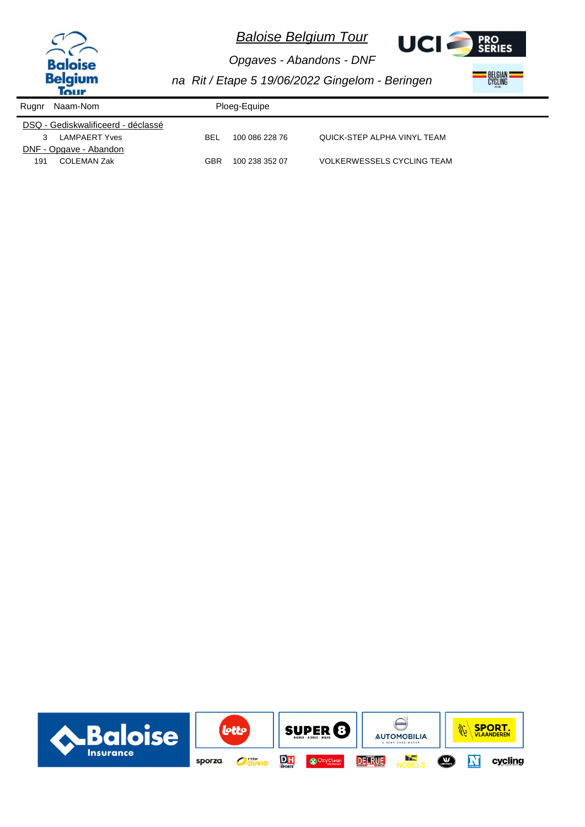



*Opgaves - Abandons - DNF na Rit / Etape 5 19/06/2022 Gingelom - Beringen*

| Rugnr | Naam-Nom                           | Ploeg-Equipe |                |                                   |
|-------|------------------------------------|--------------|----------------|-----------------------------------|
|       | DSQ - Gediskwalificeerd - déclassé |              |                |                                   |
|       | <b>LAMPAERT Yves</b>               | BEL          | 100 086 228 76 | QUICK-STEP ALPHA VINYL TEAM       |
|       | DNF - Opgave - Abandon             |              |                |                                   |
| 191   | <b>COLEMAN Zak</b>                 | GBR          | 100 238 352 07 | <b>VOLKERWESSELS CYCLING TEAM</b> |

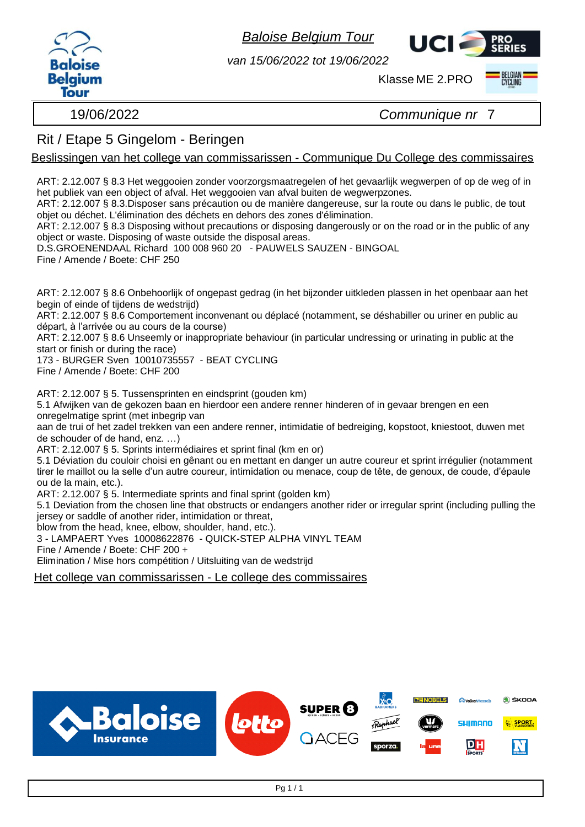

*van 15/06/2022 tot 19/06/2022*

Klasse ME 2.PRO



19/06/2022 *Communique nr* 7

UCI.

### Rit / Etape 5 Gingelom - Beringen

Beslissingen van het college van commissarissen - Communique Du College des commissaires

ART: 2.12.007 § 8.3 Het weggooien zonder voorzorgsmaatregelen of het gevaarlijk wegwerpen of op de weg of in het publiek van een object of afval. Het weggooien van afval buiten de wegwerpzones.

ART: 2.12.007 § 8.3.Disposer sans précaution ou de manière dangereuse, sur la route ou dans le public, de tout objet ou déchet. L'élimination des déchets en dehors des zones d'élimination.

ART: 2.12.007 § 8.3 Disposing without precautions or disposing dangerously or on the road or in the public of any object or waste. Disposing of waste outside the disposal areas.

D.S.GROENENDAAL Richard 100 008 960 20 - PAUWELS SAUZEN - BINGOAL Fine / Amende / Boete: CHF 250

ART: 2.12.007 § 8.6 Onbehoorlijk of ongepast gedrag (in het bijzonder uitkleden plassen in het openbaar aan het begin of einde of tijdens de wedstrijd)

ART: 2.12.007 § 8.6 Comportement inconvenant ou déplacé (notamment, se déshabiller ou uriner en public au départ, à l'arrivée ou au cours de la course)

ART: 2.12.007 § 8.6 Unseemly or inappropriate behaviour (in particular undressing or urinating in public at the start or finish or during the race)

173 - BURGER Sven 10010735557 - BEAT CYCLING Fine / Amende / Boete: CHF 200

ART: 2.12.007 § 5. Tussensprinten en eindsprint (gouden km)

5.1 Afwijken van de gekozen baan en hierdoor een andere renner hinderen of in gevaar brengen en een onregelmatige sprint (met inbegrip van

aan de trui of het zadel trekken van een andere renner, intimidatie of bedreiging, kopstoot, kniestoot, duwen met de schouder of de hand, enz. …)

ART: 2.12.007 § 5. Sprints intermédiaires et sprint final (km en or)

5.1 Déviation du couloir choisi en gênant ou en mettant en danger un autre coureur et sprint irrégulier (notamment tirer le maillot ou la selle d'un autre coureur, intimidation ou menace, coup de tête, de genoux, de coude, d'épaule ou de la main, etc.).

ART: 2.12.007 § 5. Intermediate sprints and final sprint (golden km)

5.1 Deviation from the chosen line that obstructs or endangers another rider or irregular sprint (including pulling the jersey or saddle of another rider, intimidation or threat,

blow from the head, knee, elbow, shoulder, hand, etc.).

3 - LAMPAERT Yves 10008622876 - QUICK-STEP ALPHA VINYL TEAM

Fine / Amende / Boete: CHF 200 +

Elimination / Mise hors compétition / Uitsluiting van de wedstrijd

Het college van commissarissen - Le college des commissaires